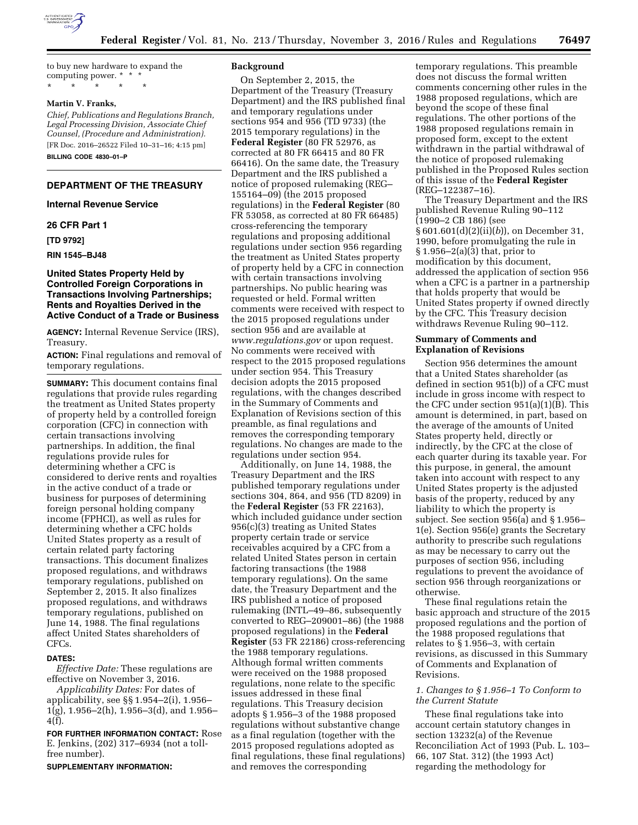

to buy new hardware to expand the computing power. \* \* \* \* \* \* \* \*

## **Martin V. Franks,**

*Chief, Publications and Regulations Branch, Legal Processing Division, Associate Chief Counsel, (Procedure and Administration).*  [FR Doc. 2016–26522 Filed 10–31–16; 4:15 pm] **BILLING CODE 4830–01–P** 

## **DEPARTMENT OF THE TREASURY**

## **Internal Revenue Service**

#### **26 CFR Part 1**

**[TD 9792]** 

#### **RIN 1545–BJ48**

## **United States Property Held by Controlled Foreign Corporations in Transactions Involving Partnerships; Rents and Royalties Derived in the Active Conduct of a Trade or Business**

**AGENCY:** Internal Revenue Service (IRS), Treasury.

**ACTION:** Final regulations and removal of temporary regulations.

**SUMMARY:** This document contains final regulations that provide rules regarding the treatment as United States property of property held by a controlled foreign corporation (CFC) in connection with certain transactions involving partnerships. In addition, the final regulations provide rules for determining whether a CFC is considered to derive rents and royalties in the active conduct of a trade or business for purposes of determining foreign personal holding company income (FPHCI), as well as rules for determining whether a CFC holds United States property as a result of certain related party factoring transactions. This document finalizes proposed regulations, and withdraws temporary regulations, published on September 2, 2015. It also finalizes proposed regulations, and withdraws temporary regulations, published on June 14, 1988. The final regulations affect United States shareholders of CFCs.

#### **DATES:**

*Effective Date:* These regulations are effective on November 3, 2016.

*Applicability Dates:* For dates of applicability, see §§ 1.954–2(i), 1.956– 1(g), 1.956–2(h), 1.956–3(d), and 1.956– 4(f).

**FOR FURTHER INFORMATION CONTACT:** Rose E. Jenkins, (202) 317–6934 (not a tollfree number).

**SUPPLEMENTARY INFORMATION:** 

### **Background**

On September 2, 2015, the Department of the Treasury (Treasury Department) and the IRS published final and temporary regulations under sections 954 and 956 (TD 9733) (the 2015 temporary regulations) in the **Federal Register** (80 FR 52976, as corrected at 80 FR 66415 and 80 FR 66416). On the same date, the Treasury Department and the IRS published a notice of proposed rulemaking (REG– 155164–09) (the 2015 proposed regulations) in the **Federal Register** (80 FR 53058, as corrected at 80 FR 66485) cross-referencing the temporary regulations and proposing additional regulations under section 956 regarding the treatment as United States property of property held by a CFC in connection with certain transactions involving partnerships. No public hearing was requested or held. Formal written comments were received with respect to the 2015 proposed regulations under section 956 and are available at *[www.regulations.gov](http://www.regulations.gov)* or upon request. No comments were received with respect to the 2015 proposed regulations under section 954. This Treasury decision adopts the 2015 proposed regulations, with the changes described in the Summary of Comments and Explanation of Revisions section of this preamble, as final regulations and removes the corresponding temporary regulations. No changes are made to the regulations under section 954.

Additionally, on June 14, 1988, the Treasury Department and the IRS published temporary regulations under sections 304, 864, and 956 (TD 8209) in the **Federal Register** (53 FR 22163), which included guidance under section 956(c)(3) treating as United States property certain trade or service receivables acquired by a CFC from a related United States person in certain factoring transactions (the 1988 temporary regulations). On the same date, the Treasury Department and the IRS published a notice of proposed rulemaking (INTL–49–86, subsequently converted to REG–209001–86) (the 1988 proposed regulations) in the **Federal Register** (53 FR 22186) cross-referencing the 1988 temporary regulations. Although formal written comments were received on the 1988 proposed regulations, none relate to the specific issues addressed in these final regulations. This Treasury decision adopts § 1.956–3 of the 1988 proposed regulations without substantive change as a final regulation (together with the 2015 proposed regulations adopted as final regulations, these final regulations) and removes the corresponding

temporary regulations. This preamble does not discuss the formal written comments concerning other rules in the 1988 proposed regulations, which are beyond the scope of these final regulations. The other portions of the 1988 proposed regulations remain in proposed form, except to the extent withdrawn in the partial withdrawal of the notice of proposed rulemaking published in the Proposed Rules section of this issue of the **Federal Register**  (REG–122387–16).

The Treasury Department and the IRS published Revenue Ruling 90–112 (1990–2 CB 186) (see § 601.601(d)(2)(ii)(*b*)), on December 31, 1990, before promulgating the rule in § 1.956–2(a)(3) that, prior to modification by this document, addressed the application of section 956 when a CFC is a partner in a partnership that holds property that would be United States property if owned directly by the CFC. This Treasury decision withdraws Revenue Ruling 90–112.

### **Summary of Comments and Explanation of Revisions**

Section 956 determines the amount that a United States shareholder (as defined in section 951(b)) of a CFC must include in gross income with respect to the CFC under section 951(a)(1)(B). This amount is determined, in part, based on the average of the amounts of United States property held, directly or indirectly, by the CFC at the close of each quarter during its taxable year. For this purpose, in general, the amount taken into account with respect to any United States property is the adjusted basis of the property, reduced by any liability to which the property is subject. See section 956(a) and § 1.956– 1(e). Section 956(e) grants the Secretary authority to prescribe such regulations as may be necessary to carry out the purposes of section 956, including regulations to prevent the avoidance of section 956 through reorganizations or otherwise.

These final regulations retain the basic approach and structure of the 2015 proposed regulations and the portion of the 1988 proposed regulations that relates to § 1.956–3, with certain revisions, as discussed in this Summary of Comments and Explanation of Revisions.

## *1. Changes to § 1.956–1 To Conform to the Current Statute*

These final regulations take into account certain statutory changes in section 13232(a) of the Revenue Reconciliation Act of 1993 (Pub. L. 103– 66, 107 Stat. 312) (the 1993 Act) regarding the methodology for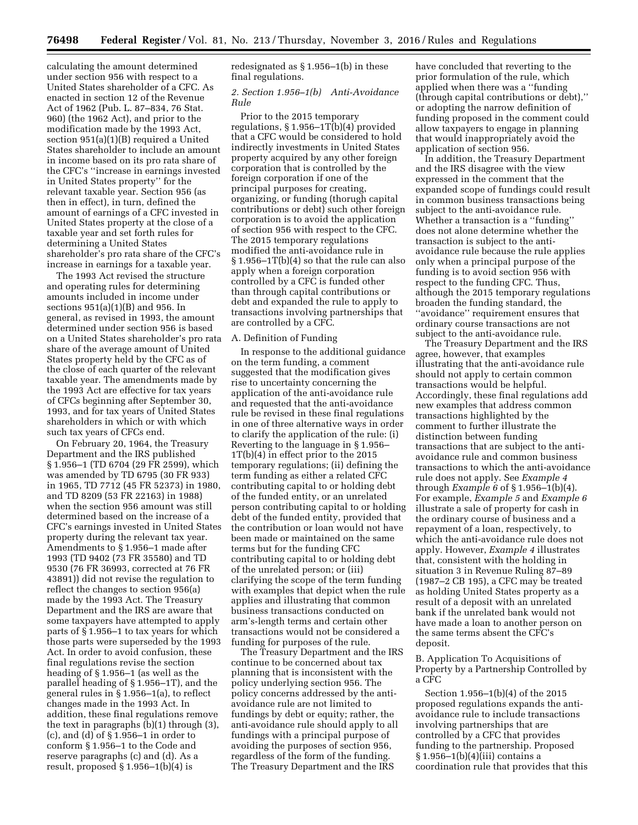calculating the amount determined under section 956 with respect to a United States shareholder of a CFC. As enacted in section 12 of the Revenue Act of 1962 (Pub. L. 87–834, 76 Stat. 960) (the 1962 Act), and prior to the modification made by the 1993 Act, section 951(a)(1)(B) required a United States shareholder to include an amount in income based on its pro rata share of the CFC's ''increase in earnings invested in United States property'' for the relevant taxable year. Section 956 (as then in effect), in turn, defined the amount of earnings of a CFC invested in United States property at the close of a taxable year and set forth rules for determining a United States shareholder's pro rata share of the CFC's increase in earnings for a taxable year.

The 1993 Act revised the structure and operating rules for determining amounts included in income under sections 951(a)(1)(B) and 956. In general, as revised in 1993, the amount determined under section 956 is based on a United States shareholder's pro rata share of the average amount of United States property held by the CFC as of the close of each quarter of the relevant taxable year. The amendments made by the 1993 Act are effective for tax years of CFCs beginning after September 30, 1993, and for tax years of United States shareholders in which or with which such tax years of CFCs end.

On February 20, 1964, the Treasury Department and the IRS published § 1.956–1 (TD 6704 (29 FR 2599), which was amended by TD 6795 (30 FR 933) in 1965, TD 7712 (45 FR 52373) in 1980, and TD 8209 (53 FR 22163) in 1988) when the section 956 amount was still determined based on the increase of a CFC's earnings invested in United States property during the relevant tax year. Amendments to § 1.956–1 made after 1993 (TD 9402 (73 FR 35580) and TD 9530 (76 FR 36993, corrected at 76 FR 43891)) did not revise the regulation to reflect the changes to section 956(a) made by the 1993 Act. The Treasury Department and the IRS are aware that some taxpayers have attempted to apply parts of § 1.956–1 to tax years for which those parts were superseded by the 1993 Act. In order to avoid confusion, these final regulations revise the section heading of § 1.956–1 (as well as the parallel heading of § 1.956–1T), and the general rules in § 1.956–1(a), to reflect changes made in the 1993 Act. In addition, these final regulations remove the text in paragraphs (b)(1) through (3), (c), and (d) of § 1.956–1 in order to conform § 1.956–1 to the Code and reserve paragraphs (c) and (d). As a result, proposed  $\S 1.956-1(b)(4)$  is

redesignated as § 1.956–1(b) in these final regulations.

#### *2. Section 1.956–1(b) Anti-Avoidance Rule*

Prior to the 2015 temporary regulations, § 1.956–1T(b)(4) provided that a CFC would be considered to hold indirectly investments in United States property acquired by any other foreign corporation that is controlled by the foreign corporation if one of the principal purposes for creating, organizing, or funding (thorugh capital contributions or debt) such other foreign corporation is to avoid the application of section 956 with respect to the CFC. The 2015 temporary regulations modified the anti-avoidance rule in § 1.956–1T(b)(4) so that the rule can also apply when a foreign corporation controlled by a CFC is funded other than through capital contributions or debt and expanded the rule to apply to transactions involving partnerships that are controlled by a CFC.

#### A. Definition of Funding

In response to the additional guidance on the term funding, a comment suggested that the modification gives rise to uncertainty concerning the application of the anti-avoidance rule and requested that the anti-avoidance rule be revised in these final regulations in one of three alternative ways in order to clarify the application of the rule: (i) Reverting to the language in § 1.956– 1T(b)(4) in effect prior to the 2015 temporary regulations; (ii) defining the term funding as either a related CFC contributing capital to or holding debt of the funded entity, or an unrelated person contributing capital to or holding debt of the funded entity, provided that the contribution or loan would not have been made or maintained on the same terms but for the funding CFC contributing capital to or holding debt of the unrelated person; or (iii) clarifying the scope of the term funding with examples that depict when the rule applies and illustrating that common business transactions conducted on arm's-length terms and certain other transactions would not be considered a funding for purposes of the rule.

The Treasury Department and the IRS continue to be concerned about tax planning that is inconsistent with the policy underlying section 956. The policy concerns addressed by the antiavoidance rule are not limited to fundings by debt or equity; rather, the anti-avoidance rule should apply to all fundings with a principal purpose of avoiding the purposes of section 956, regardless of the form of the funding. The Treasury Department and the IRS

have concluded that reverting to the prior formulation of the rule, which applied when there was a ''funding (through capital contributions or debt),'' or adopting the narrow definition of funding proposed in the comment could allow taxpayers to engage in planning that would inappropriately avoid the application of section 956.

In addition, the Treasury Department and the IRS disagree with the view expressed in the comment that the expanded scope of fundings could result in common business transactions being subject to the anti-avoidance rule. Whether a transaction is a ''funding'' does not alone determine whether the transaction is subject to the antiavoidance rule because the rule applies only when a principal purpose of the funding is to avoid section 956 with respect to the funding CFC. Thus, although the 2015 temporary regulations broaden the funding standard, the ''avoidance'' requirement ensures that ordinary course transactions are not subject to the anti-avoidance rule.

The Treasury Department and the IRS agree, however, that examples illustrating that the anti-avoidance rule should not apply to certain common transactions would be helpful. Accordingly, these final regulations add new examples that address common transactions highlighted by the comment to further illustrate the distinction between funding transactions that are subject to the antiavoidance rule and common business transactions to which the anti-avoidance rule does not apply. See *Example 4*  through *Example 6* of § 1.956–1(b)(4). For example, *Example 5* and *Example 6*  illustrate a sale of property for cash in the ordinary course of business and a repayment of a loan, respectively, to which the anti-avoidance rule does not apply. However, *Example 4* illustrates that, consistent with the holding in situation 3 in Revenue Ruling 87–89 (1987–2 CB 195), a CFC may be treated as holding United States property as a result of a deposit with an unrelated bank if the unrelated bank would not have made a loan to another person on the same terms absent the CFC's deposit.

B. Application To Acquisitions of Property by a Partnership Controlled by a CFC

Section 1.956–1(b)(4) of the 2015 proposed regulations expands the antiavoidance rule to include transactions involving partnerships that are controlled by a CFC that provides funding to the partnership. Proposed § 1.956–1(b)(4)(iii) contains a coordination rule that provides that this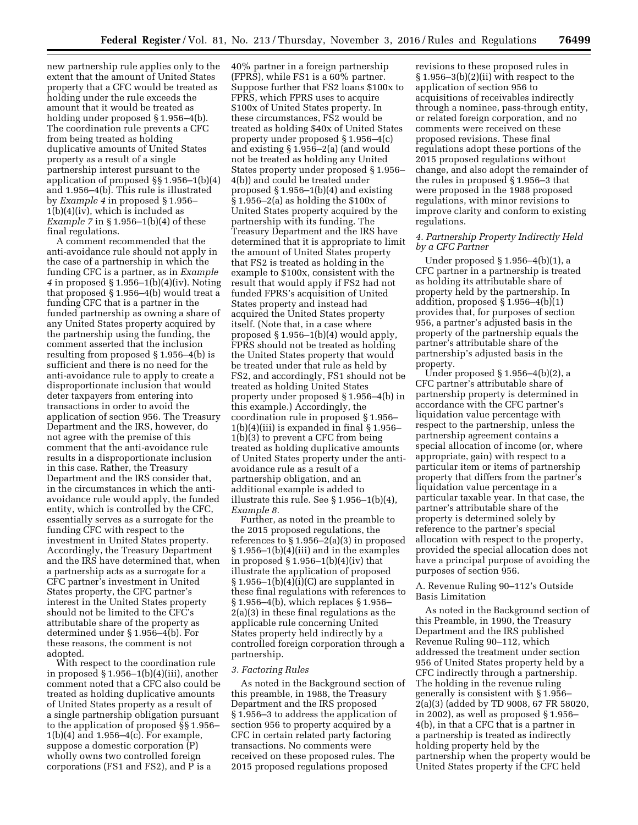new partnership rule applies only to the extent that the amount of United States property that a CFC would be treated as holding under the rule exceeds the amount that it would be treated as holding under proposed § 1.956–4(b). The coordination rule prevents a CFC from being treated as holding duplicative amounts of United States property as a result of a single partnership interest pursuant to the application of proposed §§ 1.956–1(b)(4) and 1.956–4(b). This rule is illustrated by *Example 4* in proposed § 1.956–  $1(b)(4)(iv)$ , which is included as *Example 7* in § 1.956–1(b)(4) of these final regulations.

A comment recommended that the anti-avoidance rule should not apply in the case of a partnership in which the funding CFC is a partner, as in *Example 4* in proposed § 1.956–1(b)(4)(iv). Noting that proposed § 1.956–4(b) would treat a funding CFC that is a partner in the funded partnership as owning a share of any United States property acquired by the partnership using the funding, the comment asserted that the inclusion resulting from proposed § 1.956–4(b) is sufficient and there is no need for the anti-avoidance rule to apply to create a disproportionate inclusion that would deter taxpayers from entering into transactions in order to avoid the application of section 956. The Treasury Department and the IRS, however, do not agree with the premise of this comment that the anti-avoidance rule results in a disproportionate inclusion in this case. Rather, the Treasury Department and the IRS consider that, in the circumstances in which the antiavoidance rule would apply, the funded entity, which is controlled by the CFC, essentially serves as a surrogate for the funding CFC with respect to the investment in United States property. Accordingly, the Treasury Department and the IRS have determined that, when a partnership acts as a surrogate for a CFC partner's investment in United States property, the CFC partner's interest in the United States property should not be limited to the CFC's attributable share of the property as determined under § 1.956–4(b). For these reasons, the comment is not adopted.

With respect to the coordination rule in proposed § 1.956–1(b)(4)(iii), another comment noted that a CFC also could be treated as holding duplicative amounts of United States property as a result of a single partnership obligation pursuant to the application of proposed §§ 1.956– 1(b)(4) and 1.956–4(c). For example, suppose a domestic corporation (P) wholly owns two controlled foreign corporations (FS1 and FS2), and P is a

40% partner in a foreign partnership (FPRS), while FS1 is a 60% partner. Suppose further that FS2 loans \$100x to FPRS, which FPRS uses to acquire \$100x of United States property. In these circumstances, FS2 would be treated as holding \$40x of United States property under proposed § 1.956–4(c) and existing § 1.956–2(a) (and would not be treated as holding any United States property under proposed § 1.956– 4(b)) and could be treated under proposed § 1.956–1(b)(4) and existing § 1.956–2(a) as holding the \$100x of United States property acquired by the partnership with its funding. The Treasury Department and the IRS have determined that it is appropriate to limit the amount of United States property that FS2 is treated as holding in the example to \$100x, consistent with the result that would apply if FS2 had not funded FPRS's acquisition of United States property and instead had acquired the United States property itself. (Note that, in a case where proposed § 1.956–1(b)(4) would apply, FPRS should not be treated as holding the United States property that would be treated under that rule as held by FS2, and accordingly, FS1 should not be treated as holding United States property under proposed § 1.956–4(b) in this example.) Accordingly, the coordination rule in proposed § 1.956–  $1(b)(4)(iii)$  is expanded in final § 1.956– 1(b)(3) to prevent a CFC from being treated as holding duplicative amounts of United States property under the antiavoidance rule as a result of a partnership obligation, and an additional example is added to illustrate this rule. See § 1.956–1(b)(4), *Example 8.* 

Further, as noted in the preamble to the 2015 proposed regulations, the references to § 1.956–2(a)(3) in proposed § 1.956–1(b)(4)(iii) and in the examples in proposed  $\S 1.956-1(b)(4)(iv)$  that illustrate the application of proposed  $§ 1.956-1(b)(4)(i)(C)$  are supplanted in these final regulations with references to § 1.956–4(b), which replaces § 1.956– 2(a)(3) in these final regulations as the applicable rule concerning United States property held indirectly by a controlled foreign corporation through a partnership.

## *3. Factoring Rules*

As noted in the Background section of this preamble, in 1988, the Treasury Department and the IRS proposed § 1.956–3 to address the application of section 956 to property acquired by a CFC in certain related party factoring transactions. No comments were received on these proposed rules. The 2015 proposed regulations proposed

revisions to these proposed rules in § 1.956–3(b)(2)(ii) with respect to the application of section 956 to acquisitions of receivables indirectly through a nominee, pass-through entity, or related foreign corporation, and no comments were received on these proposed revisions. These final regulations adopt these portions of the 2015 proposed regulations without change, and also adopt the remainder of the rules in proposed § 1.956–3 that were proposed in the 1988 proposed regulations, with minor revisions to improve clarity and conform to existing regulations.

### *4. Partnership Property Indirectly Held by a CFC Partner*

Under proposed § 1.956–4(b)(1), a CFC partner in a partnership is treated as holding its attributable share of property held by the partnership. In addition, proposed  $\S 1.956-4(b)(1)$ provides that, for purposes of section 956, a partner's adjusted basis in the property of the partnership equals the partner's attributable share of the partnership's adjusted basis in the property.

Under proposed  $\S 1.956-4(b)(2)$ , a CFC partner's attributable share of partnership property is determined in accordance with the CFC partner's liquidation value percentage with respect to the partnership, unless the partnership agreement contains a special allocation of income (or, where appropriate, gain) with respect to a particular item or items of partnership property that differs from the partner's liquidation value percentage in a particular taxable year. In that case, the partner's attributable share of the property is determined solely by reference to the partner's special allocation with respect to the property, provided the special allocation does not have a principal purpose of avoiding the purposes of section 956.

## A. Revenue Ruling 90–112's Outside Basis Limitation

As noted in the Background section of this Preamble, in 1990, the Treasury Department and the IRS published Revenue Ruling 90–112, which addressed the treatment under section 956 of United States property held by a CFC indirectly through a partnership. The holding in the revenue ruling generally is consistent with § 1.956– 2(a)(3) (added by TD 9008, 67 FR 58020, in 2002), as well as proposed § 1.956– 4(b), in that a CFC that is a partner in a partnership is treated as indirectly holding property held by the partnership when the property would be United States property if the CFC held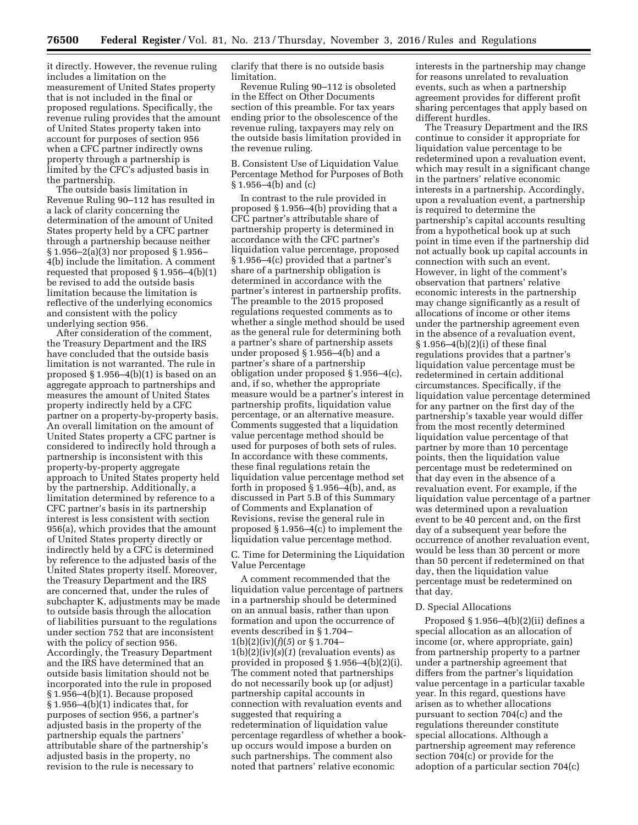it directly. However, the revenue ruling includes a limitation on the measurement of United States property that is not included in the final or proposed regulations. Specifically, the revenue ruling provides that the amount of United States property taken into account for purposes of section 956 when a CFC partner indirectly owns property through a partnership is limited by the CFC's adjusted basis in the partnership.

The outside basis limitation in Revenue Ruling 90–112 has resulted in a lack of clarity concerning the determination of the amount of United States property held by a CFC partner through a partnership because neither § 1.956–2(a)(3) nor proposed § 1.956– 4(b) include the limitation. A comment requested that proposed § 1.956–4(b)(1) be revised to add the outside basis limitation because the limitation is reflective of the underlying economics and consistent with the policy underlying section 956.

After consideration of the comment, the Treasury Department and the IRS have concluded that the outside basis limitation is not warranted. The rule in proposed § 1.956–4(b)(1) is based on an aggregate approach to partnerships and measures the amount of United States property indirectly held by a CFC partner on a property-by-property basis. An overall limitation on the amount of United States property a CFC partner is considered to indirectly hold through a partnership is inconsistent with this property-by-property aggregate approach to United States property held by the partnership. Additionally, a limitation determined by reference to a CFC partner's basis in its partnership interest is less consistent with section 956(a), which provides that the amount of United States property directly or indirectly held by a CFC is determined by reference to the adjusted basis of the United States property itself. Moreover, the Treasury Department and the IRS are concerned that, under the rules of subchapter K, adjustments may be made to outside basis through the allocation of liabilities pursuant to the regulations under section 752 that are inconsistent with the policy of section 956. Accordingly, the Treasury Department and the IRS have determined that an outside basis limitation should not be incorporated into the rule in proposed § 1.956–4(b)(1). Because proposed  $§ 1.956-4(b)(1)$  indicates that, for purposes of section 956, a partner's adjusted basis in the property of the partnership equals the partners' attributable share of the partnership's adjusted basis in the property, no revision to the rule is necessary to

clarify that there is no outside basis limitation.

Revenue Ruling 90–112 is obsoleted in the Effect on Other Documents section of this preamble. For tax years ending prior to the obsolescence of the revenue ruling, taxpayers may rely on the outside basis limitation provided in the revenue ruling.

B. Consistent Use of Liquidation Value Percentage Method for Purposes of Both § 1.956–4(b) and (c)

In contrast to the rule provided in proposed § 1.956–4(b) providing that a CFC partner's attributable share of partnership property is determined in accordance with the CFC partner's liquidation value percentage, proposed § 1.956–4(c) provided that a partner's share of a partnership obligation is determined in accordance with the partner's interest in partnership profits. The preamble to the 2015 proposed regulations requested comments as to whether a single method should be used as the general rule for determining both a partner's share of partnership assets under proposed § 1.956–4(b) and a partner's share of a partnership obligation under proposed § 1.956–4(c), and, if so, whether the appropriate measure would be a partner's interest in partnership profits, liquidation value percentage, or an alternative measure. Comments suggested that a liquidation value percentage method should be used for purposes of both sets of rules. In accordance with these comments, these final regulations retain the liquidation value percentage method set forth in proposed § 1.956–4(b), and, as discussed in Part 5.B of this Summary of Comments and Explanation of Revisions, revise the general rule in proposed § 1.956–4(c) to implement the liquidation value percentage method.

C. Time for Determining the Liquidation Value Percentage

A comment recommended that the liquidation value percentage of partners in a partnership should be determined on an annual basis, rather than upon formation and upon the occurrence of events described in § 1.704–  $1(b)(2)(iv)(f)(5)$  or § 1.704–  $1(b)(2)(iv)(s)(1)$  (revaluation events) as provided in proposed § 1.956–4(b)(2)(i). The comment noted that partnerships do not necessarily book up (or adjust) partnership capital accounts in connection with revaluation events and suggested that requiring a redetermination of liquidation value percentage regardless of whether a bookup occurs would impose a burden on such partnerships. The comment also noted that partners' relative economic

interests in the partnership may change for reasons unrelated to revaluation events, such as when a partnership agreement provides for different profit sharing percentages that apply based on different hurdles.

The Treasury Department and the IRS continue to consider it appropriate for liquidation value percentage to be redetermined upon a revaluation event, which may result in a significant change in the partners' relative economic interests in a partnership. Accordingly, upon a revaluation event, a partnership is required to determine the partnership's capital accounts resulting from a hypothetical book up at such point in time even if the partnership did not actually book up capital accounts in connection with such an event. However, in light of the comment's observation that partners' relative economic interests in the partnership may change significantly as a result of allocations of income or other items under the partnership agreement even in the absence of a revaluation event, § 1.956–4(b)(2)(i) of these final regulations provides that a partner's liquidation value percentage must be redetermined in certain additional circumstances. Specifically, if the liquidation value percentage determined for any partner on the first day of the partnership's taxable year would differ from the most recently determined liquidation value percentage of that partner by more than 10 percentage points, then the liquidation value percentage must be redetermined on that day even in the absence of a revaluation event. For example, if the liquidation value percentage of a partner was determined upon a revaluation event to be 40 percent and, on the first day of a subsequent year before the occurrence of another revaluation event, would be less than 30 percent or more than 50 percent if redetermined on that day, then the liquidation value percentage must be redetermined on that day.

#### D. Special Allocations

Proposed  $\S 1.956-4(b)(2)(ii)$  defines a special allocation as an allocation of income (or, where appropriate, gain) from partnership property to a partner under a partnership agreement that differs from the partner's liquidation value percentage in a particular taxable year. In this regard, questions have arisen as to whether allocations pursuant to section 704(c) and the regulations thereunder constitute special allocations. Although a partnership agreement may reference section 704(c) or provide for the adoption of a particular section 704(c)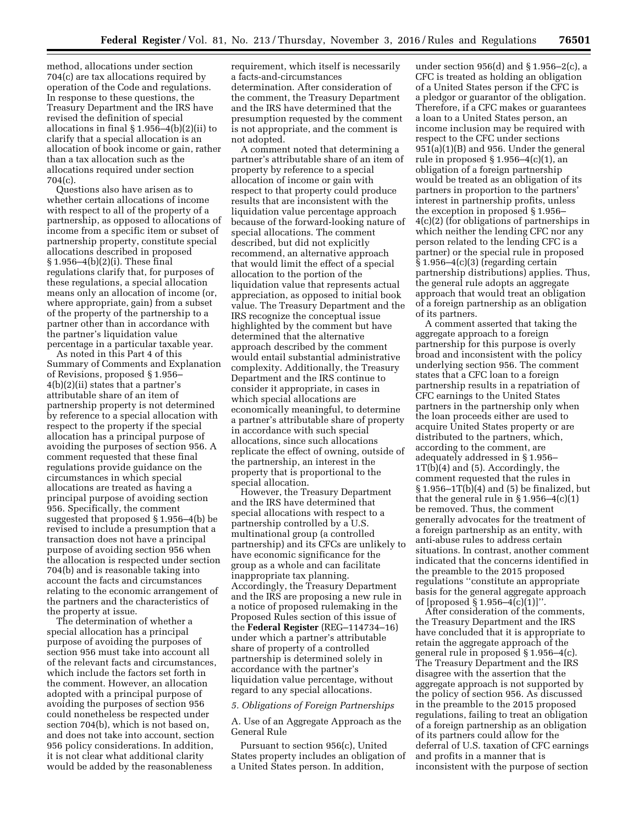method, allocations under section 704(c) are tax allocations required by operation of the Code and regulations. In response to these questions, the Treasury Department and the IRS have revised the definition of special allocations in final § 1.956–4(b)(2)(ii) to clarify that a special allocation is an allocation of book income or gain, rather than a tax allocation such as the allocations required under section 704(c).

Questions also have arisen as to whether certain allocations of income with respect to all of the property of a partnership, as opposed to allocations of income from a specific item or subset of partnership property, constitute special allocations described in proposed § 1.956–4(b)(2)(i). These final regulations clarify that, for purposes of these regulations, a special allocation means only an allocation of income (or, where appropriate, gain) from a subset of the property of the partnership to a partner other than in accordance with the partner's liquidation value percentage in a particular taxable year.

As noted in this Part 4 of this Summary of Comments and Explanation of Revisions, proposed § 1.956– 4(b)(2)(ii) states that a partner's attributable share of an item of partnership property is not determined by reference to a special allocation with respect to the property if the special allocation has a principal purpose of avoiding the purposes of section 956. A comment requested that these final regulations provide guidance on the circumstances in which special allocations are treated as having a principal purpose of avoiding section 956. Specifically, the comment suggested that proposed § 1.956–4(b) be revised to include a presumption that a transaction does not have a principal purpose of avoiding section 956 when the allocation is respected under section 704(b) and is reasonable taking into account the facts and circumstances relating to the economic arrangement of the partners and the characteristics of the property at issue.

The determination of whether a special allocation has a principal purpose of avoiding the purposes of section 956 must take into account all of the relevant facts and circumstances, which include the factors set forth in the comment. However, an allocation adopted with a principal purpose of avoiding the purposes of section 956 could nonetheless be respected under section 704(b), which is not based on, and does not take into account, section 956 policy considerations. In addition, it is not clear what additional clarity would be added by the reasonableness

requirement, which itself is necessarily a facts-and-circumstances determination. After consideration of the comment, the Treasury Department and the IRS have determined that the presumption requested by the comment is not appropriate, and the comment is not adopted.

A comment noted that determining a partner's attributable share of an item of property by reference to a special allocation of income or gain with respect to that property could produce results that are inconsistent with the liquidation value percentage approach because of the forward-looking nature of special allocations. The comment described, but did not explicitly recommend, an alternative approach that would limit the effect of a special allocation to the portion of the liquidation value that represents actual appreciation, as opposed to initial book value. The Treasury Department and the IRS recognize the conceptual issue highlighted by the comment but have determined that the alternative approach described by the comment would entail substantial administrative complexity. Additionally, the Treasury Department and the IRS continue to consider it appropriate, in cases in which special allocations are economically meaningful, to determine a partner's attributable share of property in accordance with such special allocations, since such allocations replicate the effect of owning, outside of the partnership, an interest in the property that is proportional to the special allocation.

However, the Treasury Department and the IRS have determined that special allocations with respect to a partnership controlled by a U.S. multinational group (a controlled partnership) and its CFCs are unlikely to have economic significance for the group as a whole and can facilitate inappropriate tax planning. Accordingly, the Treasury Department and the IRS are proposing a new rule in a notice of proposed rulemaking in the Proposed Rules section of this issue of the **Federal Register** (REG–114734–16) under which a partner's attributable share of property of a controlled partnership is determined solely in accordance with the partner's liquidation value percentage, without regard to any special allocations.

#### *5. Obligations of Foreign Partnerships*

A. Use of an Aggregate Approach as the General Rule

Pursuant to section 956(c), United States property includes an obligation of a United States person. In addition,

under section 956(d) and § 1.956–2(c), a CFC is treated as holding an obligation of a United States person if the CFC is a pledgor or guarantor of the obligation. Therefore, if a CFC makes or guarantees a loan to a United States person, an income inclusion may be required with respect to the CFC under sections 951(a)(1)(B) and 956. Under the general rule in proposed  $\S 1.956-4(c)(1)$ , an obligation of a foreign partnership would be treated as an obligation of its partners in proportion to the partners' interest in partnership profits, unless the exception in proposed § 1.956– 4(c)(2) (for obligations of partnerships in which neither the lending CFC nor any person related to the lending CFC is a partner) or the special rule in proposed  $§ 1.956-4(c)(3)$  (regarding certain partnership distributions) applies. Thus, the general rule adopts an aggregate approach that would treat an obligation of a foreign partnership as an obligation of its partners.

A comment asserted that taking the aggregate approach to a foreign partnership for this purpose is overly broad and inconsistent with the policy underlying section 956. The comment states that a CFC loan to a foreign partnership results in a repatriation of CFC earnings to the United States partners in the partnership only when the loan proceeds either are used to acquire United States property or are distributed to the partners, which, according to the comment, are adequately addressed in § 1.956– 1T(b)(4) and (5). Accordingly, the comment requested that the rules in  $\S 1.956 - 1T(b)(4)$  and (5) be finalized, but that the general rule in § 1.956–4(c)(1) be removed. Thus, the comment generally advocates for the treatment of a foreign partnership as an entity, with anti-abuse rules to address certain situations. In contrast, another comment indicated that the concerns identified in the preamble to the 2015 proposed regulations ''constitute an appropriate basis for the general aggregate approach of [proposed  $\S 1.956 - 4(c)(1)$ ]".

After consideration of the comments, the Treasury Department and the IRS have concluded that it is appropriate to retain the aggregate approach of the general rule in proposed § 1.956–4(c). The Treasury Department and the IRS disagree with the assertion that the aggregate approach is not supported by the policy of section 956. As discussed in the preamble to the 2015 proposed regulations, failing to treat an obligation of a foreign partnership as an obligation of its partners could allow for the deferral of U.S. taxation of CFC earnings and profits in a manner that is inconsistent with the purpose of section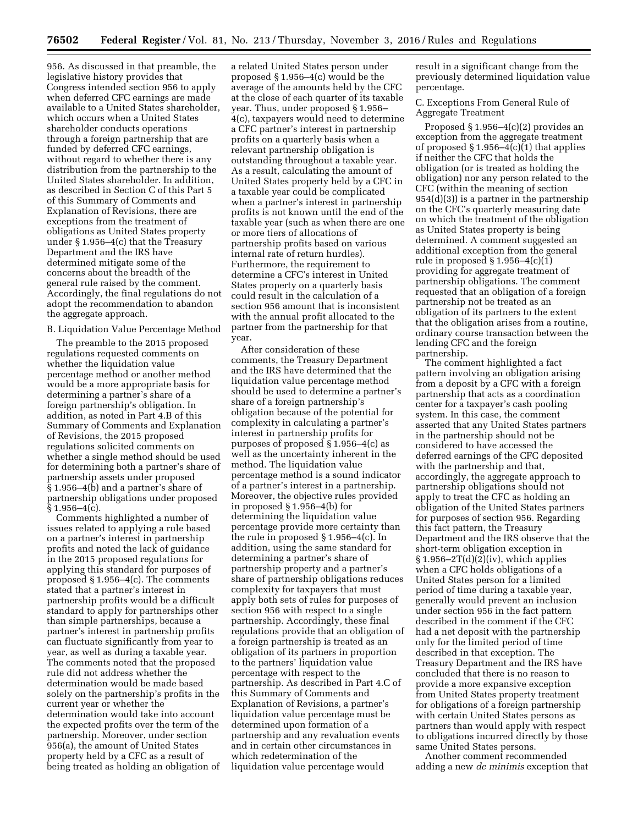956. As discussed in that preamble, the legislative history provides that Congress intended section 956 to apply when deferred CFC earnings are made available to a United States shareholder, which occurs when a United States shareholder conducts operations through a foreign partnership that are funded by deferred CFC earnings, without regard to whether there is any distribution from the partnership to the United States shareholder. In addition, as described in Section C of this Part 5 of this Summary of Comments and Explanation of Revisions, there are exceptions from the treatment of obligations as United States property under § 1.956–4(c) that the Treasury Department and the IRS have determined mitigate some of the concerns about the breadth of the general rule raised by the comment. Accordingly, the final regulations do not adopt the recommendation to abandon the aggregate approach.

### B. Liquidation Value Percentage Method

The preamble to the 2015 proposed regulations requested comments on whether the liquidation value percentage method or another method would be a more appropriate basis for determining a partner's share of a foreign partnership's obligation. In addition, as noted in Part 4.B of this Summary of Comments and Explanation of Revisions, the 2015 proposed regulations solicited comments on whether a single method should be used for determining both a partner's share of partnership assets under proposed § 1.956–4(b) and a partner's share of partnership obligations under proposed  $§ 1.956 - 4(c).$ 

Comments highlighted a number of issues related to applying a rule based on a partner's interest in partnership profits and noted the lack of guidance in the 2015 proposed regulations for applying this standard for purposes of proposed § 1.956–4(c). The comments stated that a partner's interest in partnership profits would be a difficult standard to apply for partnerships other than simple partnerships, because a partner's interest in partnership profits can fluctuate significantly from year to year, as well as during a taxable year. The comments noted that the proposed rule did not address whether the determination would be made based solely on the partnership's profits in the current year or whether the determination would take into account the expected profits over the term of the partnership. Moreover, under section 956(a), the amount of United States property held by a CFC as a result of being treated as holding an obligation of a related United States person under proposed § 1.956–4(c) would be the average of the amounts held by the CFC at the close of each quarter of its taxable year. Thus, under proposed § 1.956– 4(c), taxpayers would need to determine a CFC partner's interest in partnership profits on a quarterly basis when a relevant partnership obligation is outstanding throughout a taxable year. As a result, calculating the amount of United States property held by a CFC in a taxable year could be complicated when a partner's interest in partnership profits is not known until the end of the taxable year (such as when there are one or more tiers of allocations of partnership profits based on various internal rate of return hurdles). Furthermore, the requirement to determine a CFC's interest in United States property on a quarterly basis could result in the calculation of a section 956 amount that is inconsistent with the annual profit allocated to the partner from the partnership for that year.

After consideration of these comments, the Treasury Department and the IRS have determined that the liquidation value percentage method should be used to determine a partner's share of a foreign partnership's obligation because of the potential for complexity in calculating a partner's interest in partnership profits for purposes of proposed § 1.956–4(c) as well as the uncertainty inherent in the method. The liquidation value percentage method is a sound indicator of a partner's interest in a partnership. Moreover, the objective rules provided in proposed § 1.956–4(b) for determining the liquidation value percentage provide more certainty than the rule in proposed § 1.956–4(c). In addition, using the same standard for determining a partner's share of partnership property and a partner's share of partnership obligations reduces complexity for taxpayers that must apply both sets of rules for purposes of section 956 with respect to a single partnership. Accordingly, these final regulations provide that an obligation of a foreign partnership is treated as an obligation of its partners in proportion to the partners' liquidation value percentage with respect to the partnership. As described in Part 4.C of this Summary of Comments and Explanation of Revisions, a partner's liquidation value percentage must be determined upon formation of a partnership and any revaluation events and in certain other circumstances in which redetermination of the liquidation value percentage would

result in a significant change from the previously determined liquidation value percentage.

C. Exceptions From General Rule of Aggregate Treatment

Proposed  $\S 1.956-4(c)(2)$  provides an exception from the aggregate treatment of proposed  $\S 1.956-4(c)(1)$  that applies if neither the CFC that holds the obligation (or is treated as holding the obligation) nor any person related to the CFC (within the meaning of section 954(d)(3)) is a partner in the partnership on the CFC's quarterly measuring date on which the treatment of the obligation as United States property is being determined. A comment suggested an additional exception from the general rule in proposed § 1.956–4(c)(1) providing for aggregate treatment of partnership obligations. The comment requested that an obligation of a foreign partnership not be treated as an obligation of its partners to the extent that the obligation arises from a routine, ordinary course transaction between the lending CFC and the foreign partnership.

The comment highlighted a fact pattern involving an obligation arising from a deposit by a CFC with a foreign partnership that acts as a coordination center for a taxpayer's cash pooling system. In this case, the comment asserted that any United States partners in the partnership should not be considered to have accessed the deferred earnings of the CFC deposited with the partnership and that, accordingly, the aggregate approach to partnership obligations should not apply to treat the CFC as holding an obligation of the United States partners for purposes of section 956. Regarding this fact pattern, the Treasury Department and the IRS observe that the short-term obligation exception in  $§ 1.956-2T(d)(2)(iv)$ , which applies when a CFC holds obligations of a United States person for a limited period of time during a taxable year, generally would prevent an inclusion under section 956 in the fact pattern described in the comment if the CFC had a net deposit with the partnership only for the limited period of time described in that exception. The Treasury Department and the IRS have concluded that there is no reason to provide a more expansive exception from United States property treatment for obligations of a foreign partnership with certain United States persons as partners than would apply with respect to obligations incurred directly by those same United States persons.

Another comment recommended adding a new *de minimis* exception that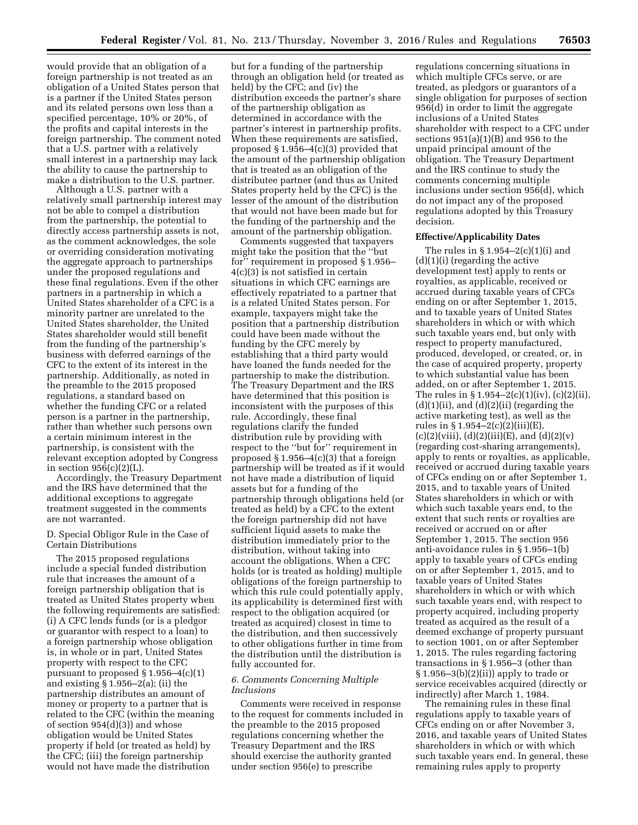would provide that an obligation of a foreign partnership is not treated as an obligation of a United States person that is a partner if the United States person and its related persons own less than a specified percentage, 10% or 20%, of the profits and capital interests in the foreign partnership. The comment noted that a U.S. partner with a relatively small interest in a partnership may lack the ability to cause the partnership to make a distribution to the U.S. partner.

Although a U.S. partner with a relatively small partnership interest may not be able to compel a distribution from the partnership, the potential to directly access partnership assets is not, as the comment acknowledges, the sole or overriding consideration motivating the aggregate approach to partnerships under the proposed regulations and these final regulations. Even if the other partners in a partnership in which a United States shareholder of a CFC is a minority partner are unrelated to the United States shareholder, the United States shareholder would still benefit from the funding of the partnership's business with deferred earnings of the CFC to the extent of its interest in the partnership. Additionally, as noted in the preamble to the 2015 proposed regulations, a standard based on whether the funding CFC or a related person is a partner in the partnership, rather than whether such persons own a certain minimum interest in the partnership, is consistent with the relevant exception adopted by Congress in section 956(c)(2)(L).

Accordingly, the Treasury Department and the IRS have determined that the additional exceptions to aggregate treatment suggested in the comments are not warranted.

## D. Special Obligor Rule in the Case of Certain Distributions

The 2015 proposed regulations include a special funded distribution rule that increases the amount of a foreign partnership obligation that is treated as United States property when the following requirements are satisfied: (i) A CFC lends funds (or is a pledgor or guarantor with respect to a loan) to a foreign partnership whose obligation is, in whole or in part, United States property with respect to the CFC pursuant to proposed  $\S 1.956-4(c)(1)$ and existing § 1.956–2(a); (ii) the partnership distributes an amount of money or property to a partner that is related to the CFC (within the meaning of section 954(d)(3)) and whose obligation would be United States property if held (or treated as held) by the CFC; (iii) the foreign partnership would not have made the distribution

but for a funding of the partnership through an obligation held (or treated as held) by the CFC; and (iv) the distribution exceeds the partner's share of the partnership obligation as determined in accordance with the partner's interest in partnership profits. When these requirements are satisfied, proposed § 1.956–4(c)(3) provided that the amount of the partnership obligation that is treated as an obligation of the distributee partner (and thus as United States property held by the CFC) is the lesser of the amount of the distribution that would not have been made but for the funding of the partnership and the amount of the partnership obligation.

Comments suggested that taxpayers might take the position that the ''but for'' requirement in proposed § 1.956– 4(c)(3) is not satisfied in certain situations in which CFC earnings are effectively repatriated to a partner that is a related United States person. For example, taxpayers might take the position that a partnership distribution could have been made without the funding by the CFC merely by establishing that a third party would have loaned the funds needed for the partnership to make the distribution. The Treasury Department and the IRS have determined that this position is inconsistent with the purposes of this rule. Accordingly, these final regulations clarify the funded distribution rule by providing with respect to the ''but for'' requirement in proposed  $\S 1.956-4(c)(3)$  that a foreign partnership will be treated as if it would not have made a distribution of liquid assets but for a funding of the partnership through obligations held (or treated as held) by a CFC to the extent the foreign partnership did not have sufficient liquid assets to make the distribution immediately prior to the distribution, without taking into account the obligations. When a CFC holds (or is treated as holding) multiple obligations of the foreign partnership to which this rule could potentially apply, its applicability is determined first with respect to the obligation acquired (or treated as acquired) closest in time to the distribution, and then successively to other obligations further in time from the distribution until the distribution is fully accounted for.

## *6. Comments Concerning Multiple Inclusions*

Comments were received in response to the request for comments included in the preamble to the 2015 proposed regulations concerning whether the Treasury Department and the IRS should exercise the authority granted under section 956(e) to prescribe

regulations concerning situations in which multiple CFCs serve, or are treated, as pledgors or guarantors of a single obligation for purposes of section 956(d) in order to limit the aggregate inclusions of a United States shareholder with respect to a CFC under sections 951(a)(1)(B) and 956 to the unpaid principal amount of the obligation. The Treasury Department and the IRS continue to study the comments concerning multiple inclusions under section 956(d), which do not impact any of the proposed regulations adopted by this Treasury decision.

## **Effective/Applicability Dates**

The rules in  $§ 1.954-2(c)(1)(i)$  and (d)(1)(i) (regarding the active development test) apply to rents or royalties, as applicable, received or accrued during taxable years of CFCs ending on or after September 1, 2015, and to taxable years of United States shareholders in which or with which such taxable years end, but only with respect to property manufactured, produced, developed, or created, or, in the case of acquired property, property to which substantial value has been added, on or after September 1, 2015. The rules in  $\S 1.954-2(c)(1)(iv)$ , (c)(2)(ii),  $(d)(1)(ii)$ , and  $(d)(2)(ii)$  (regarding the active marketing test), as well as the rules in § 1.954–2(c)(2)(iii)(E),  $(c)(2)(viii), (d)(2)(iii)(E), and (d)(2)(v)$ (regarding cost-sharing arrangements), apply to rents or royalties, as applicable, received or accrued during taxable years of CFCs ending on or after September 1, 2015, and to taxable years of United States shareholders in which or with which such taxable years end, to the extent that such rents or royalties are received or accrued on or after September 1, 2015. The section 956 anti-avoidance rules in § 1.956–1(b) apply to taxable years of CFCs ending on or after September 1, 2015, and to taxable years of United States shareholders in which or with which such taxable years end, with respect to property acquired, including property treated as acquired as the result of a deemed exchange of property pursuant to section 1001, on or after September 1, 2015. The rules regarding factoring transactions in § 1.956–3 (other than § 1.956–3(b)(2)(ii)) apply to trade or service receivables acquired (directly or indirectly) after March 1, 1984.

The remaining rules in these final regulations apply to taxable years of CFCs ending on or after November 3, 2016, and taxable years of United States shareholders in which or with which such taxable years end. In general, these remaining rules apply to property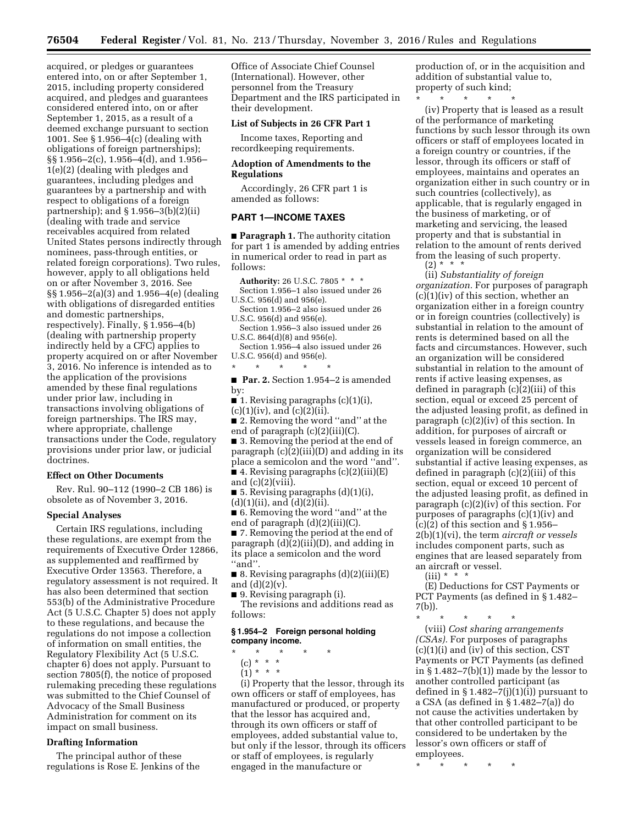acquired, or pledges or guarantees entered into, on or after September 1, 2015, including property considered acquired, and pledges and guarantees considered entered into, on or after September 1, 2015, as a result of a deemed exchange pursuant to section 1001. See § 1.956–4(c) (dealing with obligations of foreign partnerships); §§ 1.956–2(c), 1.956–4(d), and 1.956– 1(e)(2) (dealing with pledges and guarantees, including pledges and guarantees by a partnership and with respect to obligations of a foreign partnership); and § 1.956–3(b)(2)(ii) (dealing with trade and service receivables acquired from related United States persons indirectly through nominees, pass-through entities, or related foreign corporations). Two rules, however, apply to all obligations held on or after November 3, 2016. See §§ 1.956–2(a)(3) and 1.956–4(e) (dealing with obligations of disregarded entities and domestic partnerships, respectively). Finally, § 1.956–4(b) (dealing with partnership property indirectly held by a CFC) applies to property acquired on or after November 3, 2016. No inference is intended as to the application of the provisions amended by these final regulations under prior law, including in transactions involving obligations of foreign partnerships. The IRS may, where appropriate, challenge transactions under the Code, regulatory provisions under prior law, or judicial doctrines.

## **Effect on Other Documents**

Rev. Rul. 90–112 (1990–2 CB 186) is obsolete as of November 3, 2016.

#### **Special Analyses**

Certain IRS regulations, including these regulations, are exempt from the requirements of Executive Order 12866, as supplemented and reaffirmed by Executive Order 13563. Therefore, a regulatory assessment is not required. It has also been determined that section 553(b) of the Administrative Procedure Act (5 U.S.C. Chapter 5) does not apply to these regulations, and because the regulations do not impose a collection of information on small entities, the Regulatory Flexibility Act (5 U.S.C. chapter 6) does not apply. Pursuant to section 7805(f), the notice of proposed rulemaking preceding these regulations was submitted to the Chief Counsel of Advocacy of the Small Business Administration for comment on its impact on small business.

## **Drafting Information**

The principal author of these regulations is Rose E. Jenkins of the Office of Associate Chief Counsel (International). However, other personnel from the Treasury Department and the IRS participated in their development.

# **List of Subjects in 26 CFR Part 1**

Income taxes, Reporting and recordkeeping requirements.

## **Adoption of Amendments to the Regulations**

Accordingly, 26 CFR part 1 is amended as follows:

## **PART 1—INCOME TAXES**

■ **Paragraph 1.** The authority citation for part 1 is amended by adding entries in numerical order to read in part as follows:

**Authority:** 26 U.S.C. 7805 \* \* \* Section 1.956–1 also issued under 26 U.S.C. 956(d) and 956(e).

- Section 1.956–2 also issued under 26 U.S.C. 956(d) and 956(e).
- Section 1.956–3 also issued under 26 U.S.C. 864(d)(8) and 956(e).
- Section 1.956–4 also issued under 26 U.S.C. 956(d) and 956(e).
- $\star$

■ **Par. 2.** Section 1.954–2 is amended by:

■ 1. Revising paragraphs (c)(1)(i),

 $(c)(1)(iv)$ , and  $(c)(2)(ii)$ .

■ 2. Removing the word "and" at the end of paragraph (c)(2)(iii)(C).

■ 3. Removing the period at the end of paragraph (c)(2)(iii)(D) and adding in its place a semicolon and the word ''and''.

- 4. Revising paragraphs  $(c)(2)(iii)(E)$ and  $(c)(2)(viii)$ .
- 5. Revising paragraphs  $(d)(1)(i)$ ,  $(d)(1)(ii)$ , and  $(d)(2)(ii)$ .
- 6. Removing the word "and" at the end of paragraph (d)(2)(iii)(C).

■ 7. Removing the period at the end of paragraph (d)(2)(iii)(D), and adding in its place a semicolon and the word ''and''.

■ 8. Revising paragraphs (d)(2)(iii)(E) and  $(d)(2)(v)$ .

■ 9. Revising paragraph (i).

The revisions and additions read as follows:

#### **§ 1.954–2 Foreign personal holding company income.**

- \* \* \* \* \*
- (c) \* \* \*
- $(1) * * * *$

(i) Property that the lessor, through its own officers or staff of employees, has manufactured or produced, or property that the lessor has acquired and, through its own officers or staff of employees, added substantial value to, but only if the lessor, through its officers or staff of employees, is regularly engaged in the manufacture or

production of, or in the acquisition and addition of substantial value to, property of such kind;

\* \* \* \* \* (iv) Property that is leased as a result of the performance of marketing functions by such lessor through its own officers or staff of employees located in a foreign country or countries, if the lessor, through its officers or staff of employees, maintains and operates an organization either in such country or in such countries (collectively), as applicable, that is regularly engaged in the business of marketing, or of marketing and servicing, the leased property and that is substantial in relation to the amount of rents derived from the leasing of such property.  $(2) * * * *$ 

(ii) *Substantiality of foreign organization.* For purposes of paragraph (c)(1)(iv) of this section, whether an organization either in a foreign country or in foreign countries (collectively) is substantial in relation to the amount of rents is determined based on all the facts and circumstances. However, such an organization will be considered substantial in relation to the amount of rents if active leasing expenses, as defined in paragraph (c)(2)(iii) of this section, equal or exceed 25 percent of the adjusted leasing profit, as defined in paragraph (c)(2)(iv) of this section. In addition, for purposes of aircraft or vessels leased in foreign commerce, an organization will be considered substantial if active leasing expenses, as defined in paragraph (c)(2)(iii) of this section, equal or exceed 10 percent of the adjusted leasing profit, as defined in paragraph (c)(2)(iv) of this section. For purposes of paragraphs (c)(1)(iv) and  $(c)(2)$  of this section and § 1.956– 2(b)(1)(vi), the term *aircraft or vessels*  includes component parts, such as engines that are leased separately from an aircraft or vessel.

 $(iii) * * * *$ 

(E) Deductions for CST Payments or PCT Payments (as defined in § 1.482– 7(b)).

\* \* \* \* \*

(viii) *Cost sharing arrangements (CSAs).* For purposes of paragraphs (c)(1)(i) and (iv) of this section, CST Payments or PCT Payments (as defined in  $\S 1.482 - 7(b)(1)$  made by the lessor to another controlled participant (as defined in  $\S 1.482-7(j)(1)(i)$  pursuant to a CSA (as defined in § 1.482–7(a)) do not cause the activities undertaken by that other controlled participant to be considered to be undertaken by the lessor's own officers or staff of employees.

\* \* \* \* \*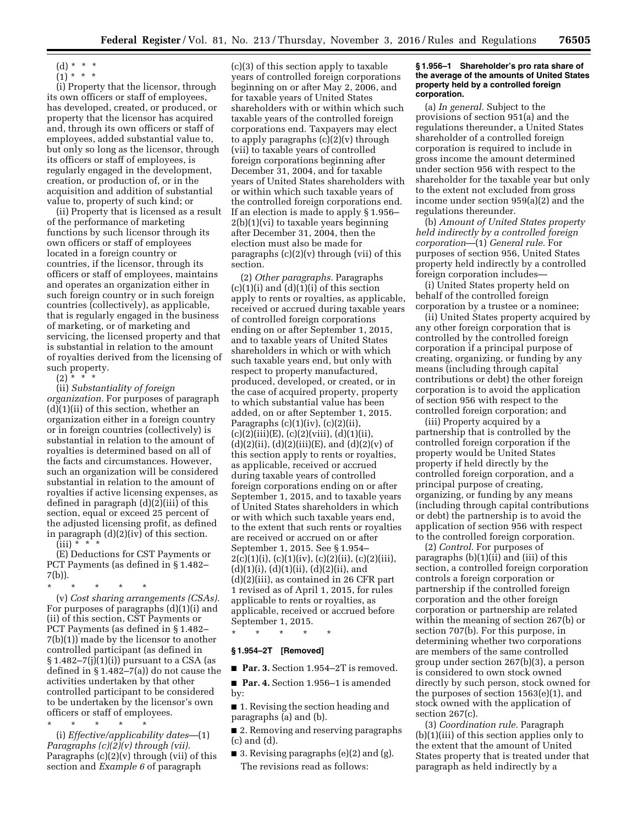$(1)^{\ast}$  \* \*

(i) Property that the licensor, through its own officers or staff of employees, has developed, created, or produced, or property that the licensor has acquired and, through its own officers or staff of employees, added substantial value to, but only so long as the licensor, through its officers or staff of employees, is regularly engaged in the development, creation, or production of, or in the acquisition and addition of substantial value to, property of such kind; or

(ii) Property that is licensed as a result of the performance of marketing functions by such licensor through its own officers or staff of employees located in a foreign country or countries, if the licensor, through its officers or staff of employees, maintains and operates an organization either in such foreign country or in such foreign countries (collectively), as applicable, that is regularly engaged in the business of marketing, or of marketing and servicing, the licensed property and that is substantial in relation to the amount of royalties derived from the licensing of such property.

 $(2)$  \* \* \*

(ii) *Substantiality of foreign organization.* For purposes of paragraph (d)(1)(ii) of this section, whether an organization either in a foreign country or in foreign countries (collectively) is substantial in relation to the amount of royalties is determined based on all of the facts and circumstances. However, such an organization will be considered substantial in relation to the amount of royalties if active licensing expenses, as defined in paragraph (d)(2)(iii) of this section, equal or exceed 25 percent of the adjusted licensing profit, as defined in paragraph (d)(2)(iv) of this section.

 $(iii)$  \*

(E) Deductions for CST Payments or PCT Payments (as defined in § 1.482– 7(b)).

\* \* \* \* \*

(v) *Cost sharing arrangements (CSAs).*  For purposes of paragraphs (d)(1)(i) and (ii) of this section, CST Payments or PCT Payments (as defined in § 1.482– 7(b)(1)) made by the licensor to another controlled participant (as defined in  $\S 1.482-7(j)(1)(i)$  pursuant to a CSA (as defined in § 1.482–7(a)) do not cause the activities undertaken by that other controlled participant to be considered to be undertaken by the licensor's own officers or staff of employees.

\* \* \* \* \* (i) *Effective/applicability dates*—(1) *Paragraphs (c)(2)(v) through (vii).*  Paragraphs  $(c)(2)(v)$  through (vii) of this section and *Example 6* of paragraph

(c)(3) of this section apply to taxable years of controlled foreign corporations beginning on or after May 2, 2006, and for taxable years of United States shareholders with or within which such taxable years of the controlled foreign corporations end. Taxpayers may elect to apply paragraphs  $(c)(2)(v)$  through (vii) to taxable years of controlled foreign corporations beginning after December 31, 2004, and for taxable years of United States shareholders with or within which such taxable years of the controlled foreign corporations end. If an election is made to apply § 1.956–  $2(b)(1)(vi)$  to taxable years beginning after December 31, 2004, then the election must also be made for paragraphs  $(c)(2)(v)$  through (vii) of this section.

(2) *Other paragraphs.* Paragraphs  $(c)(1)(i)$  and  $(d)(1)(i)$  of this section apply to rents or royalties, as applicable, received or accrued during taxable years of controlled foreign corporations ending on or after September 1, 2015, and to taxable years of United States shareholders in which or with which such taxable years end, but only with respect to property manufactured, produced, developed, or created, or in the case of acquired property, property to which substantial value has been added, on or after September 1, 2015. Paragraphs  $(c)(1)(iv)$ ,  $(c)(2)(ii)$ ,  $(c)(2)(iii)(E), (c)(2)(viii), (d)(1)(ii),$  $(d)(2)(ii)$ ,  $(d)(2)(iii)(E)$ , and  $(d)(2)(v)$  of this section apply to rents or royalties, as applicable, received or accrued during taxable years of controlled foreign corporations ending on or after September 1, 2015, and to taxable years of United States shareholders in which or with which such taxable years end, to the extent that such rents or royalties are received or accrued on or after September 1, 2015. See § 1.954– 2(c)(1)(i), (c)(1)(iv), (c)(2)(ii), (c)(2)(iii),  $(d)(1)(i), (d)(1)(ii), (d)(2)(ii), and$ (d)(2)(iii), as contained in 26 CFR part 1 revised as of April 1, 2015, for rules applicable to rents or royalties, as applicable, received or accrued before September 1, 2015.

\* \* \* \* \*

# **§ 1.954–2T [Removed]**

■ **Par. 3.** Section 1.954–2T is removed.

■ **Par. 4.** Section 1.956-1 is amended by:

■ 1. Revising the section heading and paragraphs (a) and (b).

■ 2. Removing and reserving paragraphs (c) and (d).

■ 3. Revising paragraphs (e)(2) and (g). The revisions read as follows:

#### **§ 1.956–1 Shareholder's pro rata share of the average of the amounts of United States property held by a controlled foreign corporation.**

(a) *In general.* Subject to the provisions of section 951(a) and the regulations thereunder, a United States shareholder of a controlled foreign corporation is required to include in gross income the amount determined under section 956 with respect to the shareholder for the taxable year but only to the extent not excluded from gross income under section 959(a)(2) and the regulations thereunder.

(b) *Amount of United States property held indirectly by a controlled foreign corporation*—(1) *General rule.* For purposes of section 956, United States property held indirectly by a controlled foreign corporation includes—

(i) United States property held on behalf of the controlled foreign corporation by a trustee or a nominee;

(ii) United States property acquired by any other foreign corporation that is controlled by the controlled foreign corporation if a principal purpose of creating, organizing, or funding by any means (including through capital contributions or debt) the other foreign corporation is to avoid the application of section 956 with respect to the controlled foreign corporation; and

(iii) Property acquired by a partnership that is controlled by the controlled foreign corporation if the property would be United States property if held directly by the controlled foreign corporation, and a principal purpose of creating, organizing, or funding by any means (including through capital contributions or debt) the partnership is to avoid the application of section 956 with respect to the controlled foreign corporation.

(2) *Control.* For purposes of paragraphs (b)(1)(ii) and (iii) of this section, a controlled foreign corporation controls a foreign corporation or partnership if the controlled foreign corporation and the other foreign corporation or partnership are related within the meaning of section 267(b) or section 707(b). For this purpose, in determining whether two corporations are members of the same controlled group under section 267(b)(3), a person is considered to own stock owned directly by such person, stock owned for the purposes of section 1563(e)(1), and stock owned with the application of section 267(c).

(3) *Coordination rule.* Paragraph (b)(1)(iii) of this section applies only to the extent that the amount of United States property that is treated under that paragraph as held indirectly by a

 $(d) * * * *$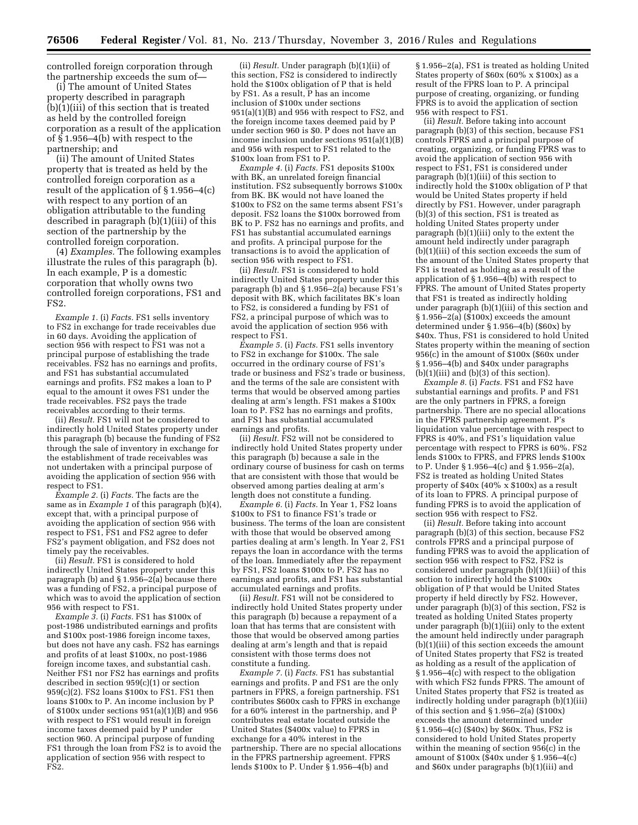controlled foreign corporation through the partnership exceeds the sum of—

(i) The amount of United States property described in paragraph  $(b)(1)(iii)$  of this section that is treated as held by the controlled foreign corporation as a result of the application of § 1.956–4(b) with respect to the partnership; and

(ii) The amount of United States property that is treated as held by the controlled foreign corporation as a result of the application of § 1.956–4(c) with respect to any portion of an obligation attributable to the funding described in paragraph (b)(1)(iii) of this section of the partnership by the controlled foreign corporation.

(4) *Examples.* The following examples illustrate the rules of this paragraph (b). In each example, P is a domestic corporation that wholly owns two controlled foreign corporations, FS1 and FS2.

*Example 1.* (i) *Facts.* FS1 sells inventory to FS2 in exchange for trade receivables due in 60 days. Avoiding the application of section 956 with respect to FS1 was not a principal purpose of establishing the trade receivables. FS2 has no earnings and profits, and FS1 has substantial accumulated earnings and profits. FS2 makes a loan to P equal to the amount it owes FS1 under the trade receivables. FS2 pays the trade receivables according to their terms.

(ii) *Result.* FS1 will not be considered to indirectly hold United States property under this paragraph (b) because the funding of FS2 through the sale of inventory in exchange for the establishment of trade receivables was not undertaken with a principal purpose of avoiding the application of section 956 with respect to FS1.

*Example 2.* (i) *Facts.* The facts are the same as in *Example 1* of this paragraph (b)(4), except that, with a principal purpose of avoiding the application of section 956 with respect to FS1, FS1 and FS2 agree to defer FS2's payment obligation, and FS2 does not timely pay the receivables.

(ii) *Result.* FS1 is considered to hold indirectly United States property under this paragraph (b) and  $\S 1.956 - 2(a)$  because there was a funding of FS2, a principal purpose of which was to avoid the application of section 956 with respect to FS1.

*Example 3.* (i) *Facts.* FS1 has \$100x of post-1986 undistributed earnings and profits and \$100x post-1986 foreign income taxes, but does not have any cash. FS2 has earnings and profits of at least \$100x, no post-1986 foreign income taxes, and substantial cash. Neither FS1 nor FS2 has earnings and profits described in section 959(c)(1) or section 959(c)(2). FS2 loans \$100x to FS1. FS1 then loans \$100x to P. An income inclusion by P of \$100x under sections 951(a)(1)(B) and 956 with respect to FS1 would result in foreign income taxes deemed paid by P under section 960. A principal purpose of funding FS1 through the loan from FS2 is to avoid the application of section 956 with respect to FS2.

(ii) *Result.* Under paragraph (b)(1)(ii) of this section, FS2 is considered to indirectly hold the \$100x obligation of P that is held by FS1. As a result, P has an income inclusion of \$100x under sections 951(a)(1)(B) and 956 with respect to FS2, and the foreign income taxes deemed paid by P under section 960 is \$0. P does not have an income inclusion under sections 951(a)(1)(B) and 956 with respect to FS1 related to the \$100x loan from FS1 to P.

*Example 4.* (i) *Facts.* FS1 deposits \$100x with BK, an unrelated foreign financial institution. FS2 subsequently borrows \$100x from BK. BK would not have loaned the \$100x to FS2 on the same terms absent FS1's deposit. FS2 loans the \$100x borrowed from BK to P. FS2 has no earnings and profits, and FS1 has substantial accumulated earnings and profits. A principal purpose for the transactions is to avoid the application of section 956 with respect to FS1.

(ii) *Result.* FS1 is considered to hold indirectly United States property under this paragraph (b) and  $\S 1.956 - 2(a)$  because FS1's deposit with BK, which facilitates BK's loan to FS2, is considered a funding by FS1 of FS2, a principal purpose of which was to avoid the application of section 956 with respect to FS1.

*Example 5.* (i) *Facts.* FS1 sells inventory to FS2 in exchange for \$100x. The sale occurred in the ordinary course of FS1's trade or business and FS2's trade or business, and the terms of the sale are consistent with terms that would be observed among parties dealing at arm's length. FS1 makes a \$100x loan to P. FS2 has no earnings and profits, and FS1 has substantial accumulated earnings and profits.

(ii) *Result.* FS2 will not be considered to indirectly hold United States property under this paragraph (b) because a sale in the ordinary course of business for cash on terms that are consistent with those that would be observed among parties dealing at arm's length does not constitute a funding.

*Example 6.* (i) *Facts.* In Year 1, FS2 loans \$100x to FS1 to finance FS1's trade or business. The terms of the loan are consistent with those that would be observed among parties dealing at arm's length. In Year 2, FS1 repays the loan in accordance with the terms of the loan. Immediately after the repayment by FS1, FS2 loans \$100x to P. FS2 has no earnings and profits, and FS1 has substantial accumulated earnings and profits.

(ii) *Result.* FS1 will not be considered to indirectly hold United States property under this paragraph (b) because a repayment of a loan that has terms that are consistent with those that would be observed among parties dealing at arm's length and that is repaid consistent with those terms does not constitute a funding.

*Example 7.* (i) *Facts.* FS1 has substantial earnings and profits. P and FS1 are the only partners in FPRS, a foreign partnership. FS1 contributes \$600x cash to FPRS in exchange for a 60% interest in the partnership, and P contributes real estate located outside the United States (\$400x value) to FPRS in exchange for a 40% interest in the partnership. There are no special allocations in the FPRS partnership agreement. FPRS lends \$100x to P. Under § 1.956–4(b) and

§ 1.956–2(a), FS1 is treated as holding United States property of \$60x (60% x \$100x) as a result of the FPRS loan to P. A principal purpose of creating, organizing, or funding FPRS is to avoid the application of section 956 with respect to FS1.

(ii) *Result.* Before taking into account paragraph (b)(3) of this section, because FS1 controls FPRS and a principal purpose of creating, organizing, or funding FPRS was to avoid the application of section 956 with respect to FS1, FS1 is considered under paragraph (b)(1)(iii) of this section to indirectly hold the \$100x obligation of P that would be United States property if held directly by FS1. However, under paragraph (b)(3) of this section, FS1 is treated as holding United States property under paragraph (b)(1)(iii) only to the extent the amount held indirectly under paragraph (b)(1)(iii) of this section exceeds the sum of the amount of the United States property that FS1 is treated as holding as a result of the application of § 1.956–4(b) with respect to FPRS. The amount of United States property that FS1 is treated as indirectly holding under paragraph (b)(1)(iii) of this section and  $\S 1.956-2(a)$  ( $\S 100x$ ) exceeds the amount determined under § 1.956–4(b) (\$60x) by \$40x. Thus, FS1 is considered to hold United States property within the meaning of section 956(c) in the amount of \$100x (\$60x under § 1.956–4(b) and \$40x under paragraphs  $(b)(1)(iii)$  and  $(b)(3)$  of this section).

*Example 8.* (i) *Facts.* FS1 and FS2 have substantial earnings and profits. P and FS1 are the only partners in FPRS, a foreign partnership. There are no special allocations in the FPRS partnership agreement. P's liquidation value percentage with respect to FPRS is 40%, and FS1's liquidation value percentage with respect to FPRS is 60%. FS2 lends \$100x to FPRS, and FPRS lends \$100x to P. Under § 1.956–4(c) and § 1.956–2(a), FS2 is treated as holding United States property of \$40x (40% x \$100x) as a result of its loan to FPRS. A principal purpose of funding FPRS is to avoid the application of section 956 with respect to FS2.

(ii) *Result.* Before taking into account paragraph (b)(3) of this section, because FS2 controls FPRS and a principal purpose of funding FPRS was to avoid the application of section 956 with respect to FS2, FS2 is considered under paragraph (b)(1)(iii) of this section to indirectly hold the \$100x obligation of P that would be United States property if held directly by FS2. However, under paragraph (b)(3) of this section, FS2 is treated as holding United States property under paragraph (b)(1)(iii) only to the extent the amount held indirectly under paragraph (b)(1)(iii) of this section exceeds the amount of United States property that FS2 is treated as holding as a result of the application of § 1.956–4(c) with respect to the obligation with which FS2 funds FPRS. The amount of United States property that FS2 is treated as indirectly holding under paragraph (b)(1)(iii) of this section and § 1.956–2(a) (\$100x) exceeds the amount determined under § 1.956–4(c) (\$40x) by \$60x. Thus, FS2 is considered to hold United States property within the meaning of section 956(c) in the amount of \$100x (\$40x under § 1.956–4(c) and \$60x under paragraphs (b)(1)(iii) and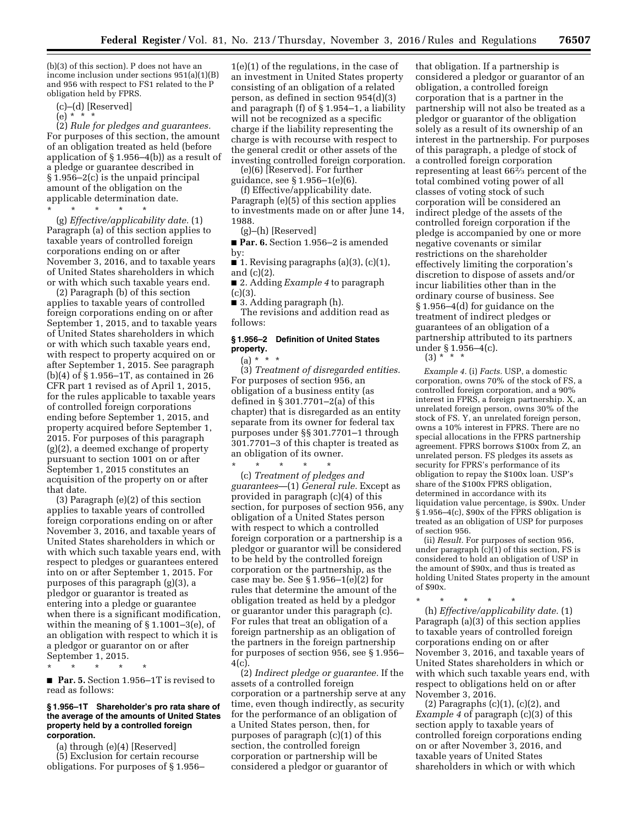(b)(3) of this section). P does not have an income inclusion under sections 951(a)(1)(B) and 956 with respect to FS1 related to the P obligation held by FPRS.

(c)–(d) [Reserved]

(e) \* \* \*

(2) *Rule for pledges and guarantees.*  For purposes of this section, the amount of an obligation treated as held (before application of  $\S 1.956-4(b)$  as a result of a pledge or guarantee described in § 1.956–2(c) is the unpaid principal amount of the obligation on the applicable determination date.

\* \* \* \* \* (g) *Effective/applicability date.* (1) Paragraph (a) of this section applies to taxable years of controlled foreign corporations ending on or after November 3, 2016, and to taxable years of United States shareholders in which or with which such taxable years end.

(2) Paragraph (b) of this section applies to taxable years of controlled foreign corporations ending on or after September 1, 2015, and to taxable years of United States shareholders in which or with which such taxable years end, with respect to property acquired on or after September 1, 2015. See paragraph (b)(4) of § 1.956–1T, as contained in 26 CFR part 1 revised as of April 1, 2015, for the rules applicable to taxable years of controlled foreign corporations ending before September 1, 2015, and property acquired before September 1, 2015. For purposes of this paragraph (g)(2), a deemed exchange of property pursuant to section 1001 on or after September 1, 2015 constitutes an acquisition of the property on or after that date.

(3) Paragraph (e)(2) of this section applies to taxable years of controlled foreign corporations ending on or after November 3, 2016, and taxable years of United States shareholders in which or with which such taxable years end, with respect to pledges or guarantees entered into on or after September 1, 2015. For purposes of this paragraph (g)(3), a pledgor or guarantor is treated as entering into a pledge or guarantee when there is a significant modification, within the meaning of § 1.1001–3(e), of an obligation with respect to which it is a pledgor or guarantor on or after September 1, 2015.

\* \* \* \* \*

■ **Par. 5.** Section 1.956–1T is revised to read as follows:

#### **§ 1.956–1T Shareholder's pro rata share of the average of the amounts of United States property held by a controlled foreign corporation.**

(a) through (e)(4) [Reserved] (5) Exclusion for certain recourse obligations. For purposes of § 1.956– 1(e)(1) of the regulations, in the case of an investment in United States property consisting of an obligation of a related person, as defined in section 954(d)(3) and paragraph (f) of § 1.954–1, a liability will not be recognized as a specific charge if the liability representing the charge is with recourse with respect to the general credit or other assets of the investing controlled foreign corporation.

(e)(6) [Reserved]. For further guidance, see § 1.956–1(e)(6).

(f) Effective/applicability date. Paragraph (e)(5) of this section applies to investments made on or after June 14, 1988.

(g)–(h) [Reserved]

■ **Par. 6.** Section 1.956–2 is amended by:

■ 1. Revising paragraphs  $(a)(3)$ ,  $(c)(1)$ , and (c)(2).

■ 2. Adding *Example 4* to paragraph  $(c)(3)$ .

■ 3. Adding paragraph (h).

The revisions and addition read as follows:

## **§ 1.956–2 Definition of United States property.**

 $(a) * * * *$ 

(3) *Treatment of disregarded entities.*  For purposes of section 956, an obligation of a business entity (as defined in § 301.7701–2(a) of this chapter) that is disregarded as an entity separate from its owner for federal tax purposes under §§ 301.7701–1 through 301.7701–3 of this chapter is treated as an obligation of its owner.

\* \* \* \* \* (c) *Treatment of pledges and guarantees*—(1) *General rule.* Except as provided in paragraph (c)(4) of this section, for purposes of section 956, any obligation of a United States person with respect to which a controlled foreign corporation or a partnership is a pledgor or guarantor will be considered to be held by the controlled foreign corporation or the partnership, as the case may be. See  $\S 1.956-1(e)(2)$  for rules that determine the amount of the obligation treated as held by a pledgor or guarantor under this paragraph (c). For rules that treat an obligation of a foreign partnership as an obligation of the partners in the foreign partnership for purposes of section 956, see § 1.956– 4(c).

(2) *Indirect pledge or guarantee.* If the assets of a controlled foreign corporation or a partnership serve at any time, even though indirectly, as security for the performance of an obligation of a United States person, then, for purposes of paragraph (c)(1) of this section, the controlled foreign corporation or partnership will be considered a pledgor or guarantor of

that obligation. If a partnership is considered a pledgor or guarantor of an obligation, a controlled foreign corporation that is a partner in the partnership will not also be treated as a pledgor or guarantor of the obligation solely as a result of its ownership of an interest in the partnership. For purposes of this paragraph, a pledge of stock of a controlled foreign corporation representing at least 662⁄3 percent of the total combined voting power of all classes of voting stock of such corporation will be considered an indirect pledge of the assets of the controlled foreign corporation if the pledge is accompanied by one or more negative covenants or similar restrictions on the shareholder effectively limiting the corporation's discretion to dispose of assets and/or incur liabilities other than in the ordinary course of business. See § 1.956–4(d) for guidance on the treatment of indirect pledges or guarantees of an obligation of a partnership attributed to its partners under § 1.956–4(c).

 $(3) * * * *$ 

*Example 4.* (i) *Facts.* USP, a domestic corporation, owns 70% of the stock of FS, a controlled foreign corporation, and a 90% interest in FPRS, a foreign partnership. X, an unrelated foreign person, owns 30% of the stock of FS. Y, an unrelated foreign person, owns a 10% interest in FPRS. There are no special allocations in the FPRS partnership agreement. FPRS borrows \$100x from Z, an unrelated person. FS pledges its assets as security for FPRS's performance of its obligation to repay the \$100x loan. USP's share of the \$100x FPRS obligation, determined in accordance with its liquidation value percentage, is \$90x. Under  $§$  1.956–4(c), \$90 $x$  of the FPRS obligation is treated as an obligation of USP for purposes of section 956.

(ii) *Result.* For purposes of section 956, under paragraph  $(c)(1)$  of this section, FS is considered to hold an obligation of USP in the amount of \$90x, and thus is treated as holding United States property in the amount of \$90x.

\* \* \* \* \* (h) *Effective/applicability date.* (1) Paragraph (a)(3) of this section applies to taxable years of controlled foreign corporations ending on or after November 3, 2016, and taxable years of United States shareholders in which or with which such taxable years end, with respect to obligations held on or after November 3, 2016.

(2) Paragraphs  $(c)(1)$ ,  $(c)(2)$ , and *Example 4* of paragraph (c)(3) of this section apply to taxable years of controlled foreign corporations ending on or after November 3, 2016, and taxable years of United States shareholders in which or with which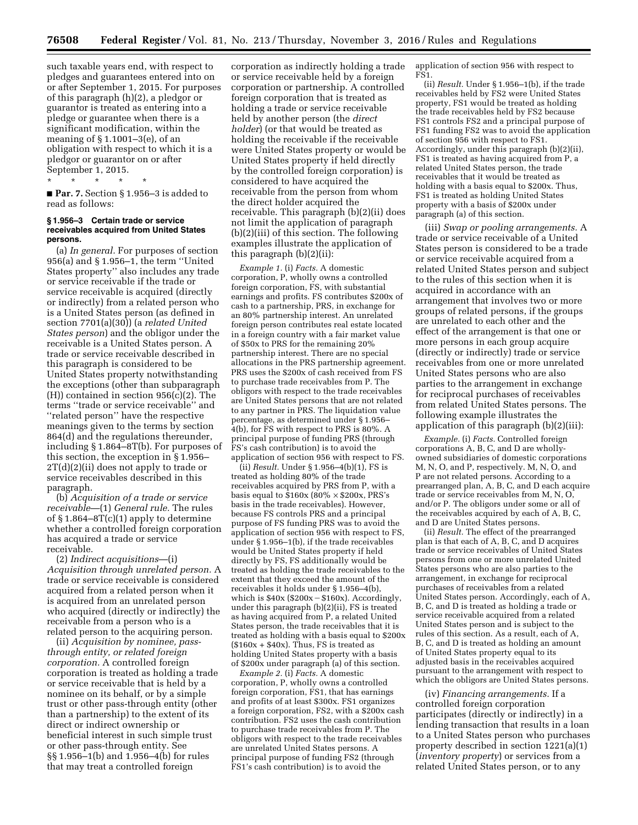such taxable years end, with respect to pledges and guarantees entered into on or after September 1, 2015. For purposes of this paragraph (h)(2), a pledgor or guarantor is treated as entering into a pledge or guarantee when there is a significant modification, within the meaning of § 1.1001–3(e), of an obligation with respect to which it is a pledgor or guarantor on or after September 1, 2015.

\* \* \* \* \*

■ **Par. 7.** Section § 1.956–3 is added to read as follows:

#### **§ 1.956–3 Certain trade or service receivables acquired from United States persons.**

(a) *In general.* For purposes of section 956(a) and § 1.956–1, the term ''United States property'' also includes any trade or service receivable if the trade or service receivable is acquired (directly or indirectly) from a related person who is a United States person (as defined in section 7701(a)(30)) (a *related United States person*) and the obligor under the receivable is a United States person. A trade or service receivable described in this paragraph is considered to be United States property notwithstanding the exceptions (other than subparagraph  $(H)$ ) contained in section 956(c)(2). The terms ''trade or service receivable'' and ''related person'' have the respective meanings given to the terms by section 864(d) and the regulations thereunder, including § 1.864–8T(b). For purposes of this section, the exception in § 1.956– 2T(d)(2)(ii) does not apply to trade or service receivables described in this paragraph.

(b) *Acquisition of a trade or service receivable*—(1) *General rule.* The rules of § 1.864–8T(c)(1) apply to determine whether a controlled foreign corporation has acquired a trade or service receivable.

(2) *Indirect acquisitions*—(i) *Acquisition through unrelated person.* A trade or service receivable is considered acquired from a related person when it is acquired from an unrelated person who acquired (directly or indirectly) the receivable from a person who is a related person to the acquiring person.

(ii) *Acquisition by nominee, passthrough entity, or related foreign corporation.* A controlled foreign corporation is treated as holding a trade or service receivable that is held by a nominee on its behalf, or by a simple trust or other pass-through entity (other than a partnership) to the extent of its direct or indirect ownership or beneficial interest in such simple trust or other pass-through entity. See §§ 1.956–1(b) and 1.956–4(b) for rules that may treat a controlled foreign

corporation as indirectly holding a trade or service receivable held by a foreign corporation or partnership. A controlled foreign corporation that is treated as holding a trade or service receivable held by another person (the *direct holder*) (or that would be treated as holding the receivable if the receivable were United States property or would be United States property if held directly by the controlled foreign corporation) is considered to have acquired the receivable from the person from whom the direct holder acquired the receivable. This paragraph (b)(2)(ii) does not limit the application of paragraph (b)(2)(iii) of this section. The following examples illustrate the application of this paragraph (b)(2)(ii):

*Example 1.* (i) *Facts.* A domestic corporation, P, wholly owns a controlled foreign corporation, FS, with substantial earnings and profits. FS contributes \$200x of cash to a partnership, PRS, in exchange for an 80% partnership interest. An unrelated foreign person contributes real estate located in a foreign country with a fair market value of \$50x to PRS for the remaining 20% partnership interest. There are no special allocations in the PRS partnership agreement. PRS uses the \$200x of cash received from FS to purchase trade receivables from P. The obligors with respect to the trade receivables are United States persons that are not related to any partner in PRS. The liquidation value percentage, as determined under § 1.956– 4(b), for FS with respect to PRS is 80%. A principal purpose of funding PRS (through FS's cash contribution) is to avoid the application of section 956 with respect to FS.

(ii) *Result.* Under § 1.956–4(b)(1), FS is treated as holding 80% of the trade receivables acquired by PRS from P, with a basis equal to  $$160x (80\% \times $200x, PRS's$ basis in the trade receivables). However, because FS controls PRS and a principal purpose of FS funding PRS was to avoid the application of section 956 with respect to FS, under § 1.956–1(b), if the trade receivables would be United States property if held directly by FS, FS additionally would be treated as holding the trade receivables to the extent that they exceed the amount of the receivables it holds under § 1.956–4(b), which is  $$40x$  ( $$200x - $160x$ ). Accordingly, under this paragraph (b)(2)(ii), FS is treated as having acquired from P, a related United States person, the trade receivables that it is treated as holding with a basis equal to \$200x  $($160x + $40x)$ . Thus, FS is treated as holding United States property with a basis of \$200x under paragraph (a) of this section.

*Example 2.* (i) *Facts.* A domestic corporation, P, wholly owns a controlled foreign corporation, FS1, that has earnings and profits of at least \$300x. FS1 organizes a foreign corporation, FS2, with a \$200x cash contribution. FS2 uses the cash contribution to purchase trade receivables from P. The obligors with respect to the trade receivables are unrelated United States persons. A principal purpose of funding FS2 (through FS1's cash contribution) is to avoid the

application of section 956 with respect to FS1.

(ii) *Result.* Under § 1.956–1(b), if the trade receivables held by FS2 were United States property, FS1 would be treated as holding the trade receivables held by FS2 because FS1 controls FS2 and a principal purpose of FS1 funding FS2 was to avoid the application of section 956 with respect to FS1. Accordingly, under this paragraph (b)(2)(ii), FS1 is treated as having acquired from P, a related United States person, the trade receivables that it would be treated as holding with a basis equal to \$200x. Thus, FS1 is treated as holding United States property with a basis of \$200x under paragraph (a) of this section.

(iii) *Swap or pooling arrangements.* A trade or service receivable of a United States person is considered to be a trade or service receivable acquired from a related United States person and subject to the rules of this section when it is acquired in accordance with an arrangement that involves two or more groups of related persons, if the groups are unrelated to each other and the effect of the arrangement is that one or more persons in each group acquire (directly or indirectly) trade or service receivables from one or more unrelated United States persons who are also parties to the arrangement in exchange for reciprocal purchases of receivables from related United States persons. The following example illustrates the application of this paragraph (b)(2)(iii):

*Example.* (i) *Facts.* Controlled foreign corporations A, B, C, and D are whollyowned subsidiaries of domestic corporations M, N, O, and P, respectively. M, N, O, and P are not related persons. According to a prearranged plan, A, B, C, and D each acquire trade or service receivables from M, N, O, and/or P. The obligors under some or all of the receivables acquired by each of A, B, C, and D are United States persons.

(ii) *Result.* The effect of the prearranged plan is that each of A, B, C, and D acquires trade or service receivables of United States persons from one or more unrelated United States persons who are also parties to the arrangement, in exchange for reciprocal purchases of receivables from a related United States person. Accordingly, each of A, B, C, and D is treated as holding a trade or service receivable acquired from a related United States person and is subject to the rules of this section. As a result, each of A, B, C, and D is treated as holding an amount of United States property equal to its adjusted basis in the receivables acquired pursuant to the arrangement with respect to which the obligors are United States persons.

(iv) *Financing arrangements.* If a controlled foreign corporation participates (directly or indirectly) in a lending transaction that results in a loan to a United States person who purchases property described in section 1221(a)(1) (*inventory property*) or services from a related United States person, or to any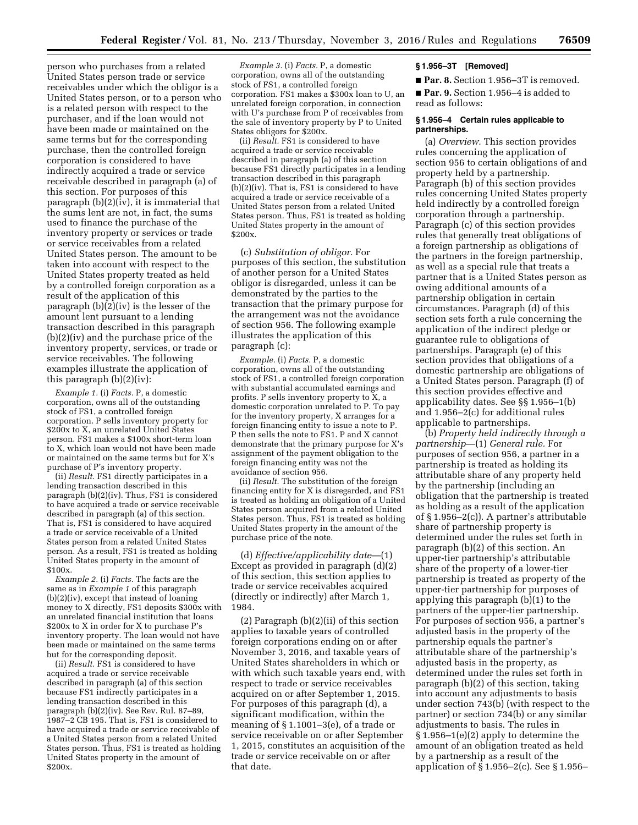person who purchases from a related United States person trade or service receivables under which the obligor is a United States person, or to a person who is a related person with respect to the purchaser, and if the loan would not have been made or maintained on the same terms but for the corresponding purchase, then the controlled foreign corporation is considered to have indirectly acquired a trade or service receivable described in paragraph (a) of this section. For purposes of this paragraph (b)(2)(iv), it is immaterial that the sums lent are not, in fact, the sums used to finance the purchase of the inventory property or services or trade or service receivables from a related United States person. The amount to be taken into account with respect to the United States property treated as held by a controlled foreign corporation as a result of the application of this paragraph (b)(2)(iv) is the lesser of the amount lent pursuant to a lending transaction described in this paragraph (b)(2)(iv) and the purchase price of the inventory property, services, or trade or service receivables. The following examples illustrate the application of this paragraph (b)(2)(iv):

*Example 1.* (i) *Facts.* P, a domestic corporation, owns all of the outstanding stock of FS1, a controlled foreign corporation. P sells inventory property for \$200x to X, an unrelated United States person. FS1 makes a \$100x short-term loan to X, which loan would not have been made or maintained on the same terms but for X's purchase of P's inventory property.

(ii) *Result.* FS1 directly participates in a lending transaction described in this paragraph (b)(2)(iv). Thus, FS1 is considered to have acquired a trade or service receivable described in paragraph (a) of this section. That is, FS1 is considered to have acquired a trade or service receivable of a United States person from a related United States person. As a result, FS1 is treated as holding United States property in the amount of \$100x.

*Example 2.* (i) *Facts.* The facts are the same as in *Example 1* of this paragraph (b)(2)(iv), except that instead of loaning money to X directly, FS1 deposits \$300x with an unrelated financial institution that loans \$200x to X in order for X to purchase P's inventory property. The loan would not have been made or maintained on the same terms but for the corresponding deposit.

(ii) *Result.* FS1 is considered to have acquired a trade or service receivable described in paragraph (a) of this section because FS1 indirectly participates in a lending transaction described in this paragraph (b)(2)(iv). See Rev. Rul. 87–89, 1987–2 CB 195. That is, FS1 is considered to have acquired a trade or service receivable of a United States person from a related United States person. Thus, FS1 is treated as holding United States property in the amount of \$200x.

*Example 3.* (i) *Facts.* P, a domestic corporation, owns all of the outstanding stock of FS1, a controlled foreign corporation. FS1 makes a \$300x loan to U, an unrelated foreign corporation, in connection with U's purchase from P of receivables from the sale of inventory property by P to United States obligors for \$200x.

(ii) *Result.* FS1 is considered to have acquired a trade or service receivable described in paragraph (a) of this section because FS1 directly participates in a lending transaction described in this paragraph (b)(2)(iv). That is, FS1 is considered to have acquired a trade or service receivable of a United States person from a related United States person. Thus, FS1 is treated as holding United States property in the amount of \$200x.

(c) *Substitution of obligor.* For purposes of this section, the substitution of another person for a United States obligor is disregarded, unless it can be demonstrated by the parties to the transaction that the primary purpose for the arrangement was not the avoidance of section 956. The following example illustrates the application of this paragraph (c):

*Example.* (i) *Facts.* P, a domestic corporation, owns all of the outstanding stock of FS1, a controlled foreign corporation with substantial accumulated earnings and profits. P sells inventory property to X, a domestic corporation unrelated to P. To pay for the inventory property, X arranges for a foreign financing entity to issue a note to P. P then sells the note to FS1. P and X cannot demonstrate that the primary purpose for X's assignment of the payment obligation to the foreign financing entity was not the avoidance of section 956.

(ii) *Result.* The substitution of the foreign financing entity for X is disregarded, and FS1 is treated as holding an obligation of a United States person acquired from a related United States person. Thus, FS1 is treated as holding United States property in the amount of the purchase price of the note.

(d) *Effective/applicability date*—(1) Except as provided in paragraph (d)(2) of this section, this section applies to trade or service receivables acquired (directly or indirectly) after March 1, 1984.

(2) Paragraph (b)(2)(ii) of this section applies to taxable years of controlled foreign corporations ending on or after November 3, 2016, and taxable years of United States shareholders in which or with which such taxable years end, with respect to trade or service receivables acquired on or after September 1, 2015. For purposes of this paragraph (d), a significant modification, within the meaning of § 1.1001–3(e), of a trade or service receivable on or after September 1, 2015, constitutes an acquisition of the trade or service receivable on or after that date.

## **§ 1.956–3T [Removed]**

■ Par. 8. Section 1.956-3T is removed. ■ **Par. 9.** Section 1.956–4 is added to read as follows:

#### **§ 1.956–4 Certain rules applicable to partnerships.**

(a) *Overview.* This section provides rules concerning the application of section 956 to certain obligations of and property held by a partnership. Paragraph (b) of this section provides rules concerning United States property held indirectly by a controlled foreign corporation through a partnership. Paragraph (c) of this section provides rules that generally treat obligations of a foreign partnership as obligations of the partners in the foreign partnership, as well as a special rule that treats a partner that is a United States person as owing additional amounts of a partnership obligation in certain circumstances. Paragraph (d) of this section sets forth a rule concerning the application of the indirect pledge or guarantee rule to obligations of partnerships. Paragraph (e) of this section provides that obligations of a domestic partnership are obligations of a United States person. Paragraph (f) of this section provides effective and applicability dates. See §§ 1.956–1(b) and 1.956–2(c) for additional rules applicable to partnerships.

(b) *Property held indirectly through a partnership*—(1) *General rule.* For purposes of section 956, a partner in a partnership is treated as holding its attributable share of any property held by the partnership (including an obligation that the partnership is treated as holding as a result of the application of § 1.956–2(c)). A partner's attributable share of partnership property is determined under the rules set forth in paragraph (b)(2) of this section. An upper-tier partnership's attributable share of the property of a lower-tier partnership is treated as property of the upper-tier partnership for purposes of applying this paragraph (b)(1) to the partners of the upper-tier partnership. For purposes of section 956, a partner's adjusted basis in the property of the partnership equals the partner's attributable share of the partnership's adjusted basis in the property, as determined under the rules set forth in paragraph (b)(2) of this section, taking into account any adjustments to basis under section 743(b) (with respect to the partner) or section 734(b) or any similar adjustments to basis. The rules in § 1.956–1(e)(2) apply to determine the amount of an obligation treated as held by a partnership as a result of the application of § 1.956–2(c). See § 1.956–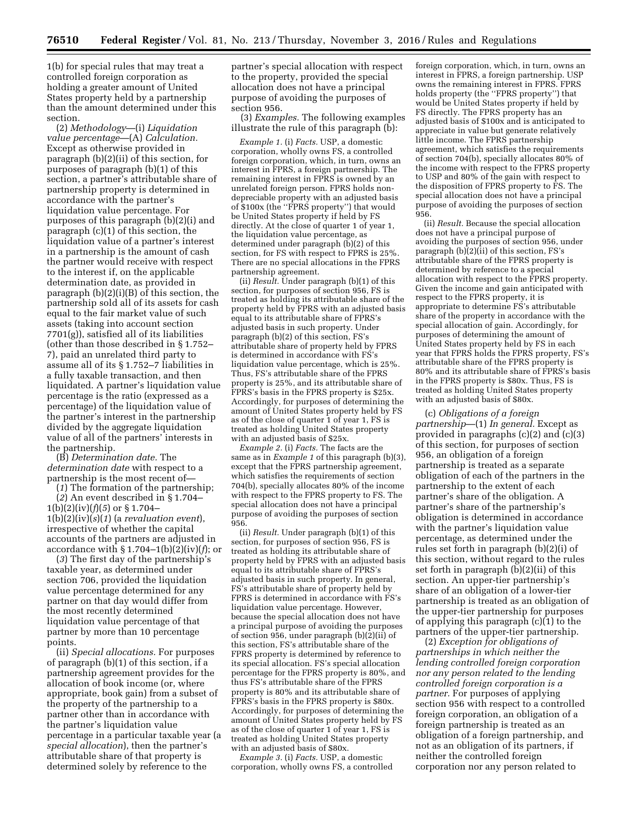1(b) for special rules that may treat a controlled foreign corporation as holding a greater amount of United States property held by a partnership than the amount determined under this section.

(2) *Methodology*—(i) *Liquidation value percentage*—(A) *Calculation.*  Except as otherwise provided in paragraph (b)(2)(ii) of this section, for purposes of paragraph (b)(1) of this section, a partner's attributable share of partnership property is determined in accordance with the partner's liquidation value percentage. For purposes of this paragraph (b)(2)(i) and paragraph (c)(1) of this section, the liquidation value of a partner's interest in a partnership is the amount of cash the partner would receive with respect to the interest if, on the applicable determination date, as provided in paragraph (b)(2)(i)(B) of this section, the partnership sold all of its assets for cash equal to the fair market value of such assets (taking into account section 7701(g)), satisfied all of its liabilities (other than those described in § 1.752– 7), paid an unrelated third party to assume all of its § 1.752–7 liabilities in a fully taxable transaction, and then liquidated. A partner's liquidation value percentage is the ratio (expressed as a percentage) of the liquidation value of the partner's interest in the partnership divided by the aggregate liquidation value of all of the partners' interests in the partnership.

(B) *Determination date.* The *determination date* with respect to a partnership is the most recent of—

(*1*) The formation of the partnership;

(*2*) An event described in § 1.704–  $1(b)(2)(iv)(f)(5)$  or § 1.704– 1(b)(2)(iv)(*s*)(*1*) (a *revaluation event*), irrespective of whether the capital accounts of the partners are adjusted in accordance with § 1.704–1(b)(2)(iv)(*f*); or

(*3*) The first day of the partnership's taxable year, as determined under section 706, provided the liquidation value percentage determined for any partner on that day would differ from the most recently determined liquidation value percentage of that partner by more than 10 percentage points.

(ii) *Special allocations.* For purposes of paragraph (b)(1) of this section, if a partnership agreement provides for the allocation of book income (or, where appropriate, book gain) from a subset of the property of the partnership to a partner other than in accordance with the partner's liquidation value percentage in a particular taxable year (a *special allocation*), then the partner's attributable share of that property is determined solely by reference to the

partner's special allocation with respect to the property, provided the special allocation does not have a principal purpose of avoiding the purposes of section 956.

(3) *Examples.* The following examples illustrate the rule of this paragraph (b):

*Example 1.* (i) *Facts.* USP, a domestic corporation, wholly owns FS, a controlled foreign corporation, which, in turn, owns an interest in FPRS, a foreign partnership. The remaining interest in FPRS is owned by an unrelated foreign person. FPRS holds nondepreciable property with an adjusted basis of \$100x (the ''FPRS property'') that would be United States property if held by FS directly. At the close of quarter 1 of year 1, the liquidation value percentage, as determined under paragraph (b)(2) of this section, for FS with respect to FPRS is 25%. There are no special allocations in the FPRS partnership agreement.

(ii) *Result.* Under paragraph (b)(1) of this section, for purposes of section 956, FS is treated as holding its attributable share of the property held by FPRS with an adjusted basis equal to its attributable share of FPRS's adjusted basis in such property. Under paragraph (b)(2) of this section, FS's attributable share of property held by FPRS is determined in accordance with FS's liquidation value percentage, which is 25%. Thus, FS's attributable share of the FPRS property is 25%, and its attributable share of FPRS's basis in the FPRS property is \$25x. Accordingly, for purposes of determining the amount of United States property held by FS as of the close of quarter 1 of year 1, FS is treated as holding United States property with an adjusted basis of \$25x.

*Example 2.* (i) *Facts.* The facts are the same as in *Example 1* of this paragraph (b)(3), except that the FPRS partnership agreement, which satisfies the requirements of section 704(b), specially allocates 80% of the income with respect to the FPRS property to FS. The special allocation does not have a principal purpose of avoiding the purposes of section 956.

(ii) *Result.* Under paragraph (b)(1) of this section, for purposes of section 956, FS is treated as holding its attributable share of property held by FPRS with an adjusted basis equal to its attributable share of FPRS's adjusted basis in such property. In general, FS's attributable share of property held by FPRS is determined in accordance with FS's liquidation value percentage. However, because the special allocation does not have a principal purpose of avoiding the purposes of section 956, under paragraph (b)(2)(ii) of this section, FS's attributable share of the FPRS property is determined by reference to its special allocation. FS's special allocation percentage for the FPRS property is 80%, and thus FS's attributable share of the FPRS property is 80% and its attributable share of FPRS's basis in the FPRS property is \$80x. Accordingly, for purposes of determining the amount of United States property held by FS as of the close of quarter 1 of year 1, FS is treated as holding United States property with an adjusted basis of \$80x.

*Example 3.* (i) *Facts.* USP, a domestic corporation, wholly owns FS, a controlled foreign corporation, which, in turn, owns an interest in FPRS, a foreign partnership. USP owns the remaining interest in FPRS. FPRS holds property (the ''FPRS property'') that would be United States property if held by FS directly. The FPRS property has an adjusted basis of \$100x and is anticipated to appreciate in value but generate relatively little income. The FPRS partnership agreement, which satisfies the requirements of section 704(b), specially allocates 80% of the income with respect to the FPRS property to USP and 80% of the gain with respect to the disposition of FPRS property to FS. The special allocation does not have a principal purpose of avoiding the purposes of section 956.

(ii) *Result.* Because the special allocation does not have a principal purpose of avoiding the purposes of section 956, under paragraph  $(b)(2)(ii)$  of this section, FS's attributable share of the FPRS property is determined by reference to a special allocation with respect to the FPRS property. Given the income and gain anticipated with respect to the FPRS property, it is appropriate to determine FS's attributable share of the property in accordance with the special allocation of gain. Accordingly, for purposes of determining the amount of United States property held by FS in each year that FPRS holds the FPRS property, FS's attributable share of the FPRS property is 80% and its attributable share of FPRS's basis in the FPRS property is \$80x. Thus, FS is treated as holding United States property with an adjusted basis of \$80x.

(c) *Obligations of a foreign partnership*—(1) *In general.* Except as provided in paragraphs (c)(2) and (c)(3) of this section, for purposes of section 956, an obligation of a foreign partnership is treated as a separate obligation of each of the partners in the partnership to the extent of each partner's share of the obligation. A partner's share of the partnership's obligation is determined in accordance with the partner's liquidation value percentage, as determined under the rules set forth in paragraph (b)(2)(i) of this section, without regard to the rules set forth in paragraph (b)(2)(ii) of this section. An upper-tier partnership's share of an obligation of a lower-tier partnership is treated as an obligation of the upper-tier partnership for purposes of applying this paragraph (c)(1) to the partners of the upper-tier partnership.

(2) *Exception for obligations of partnerships in which neither the lending controlled foreign corporation nor any person related to the lending controlled foreign corporation is a partner.* For purposes of applying section 956 with respect to a controlled foreign corporation, an obligation of a foreign partnership is treated as an obligation of a foreign partnership, and not as an obligation of its partners, if neither the controlled foreign corporation nor any person related to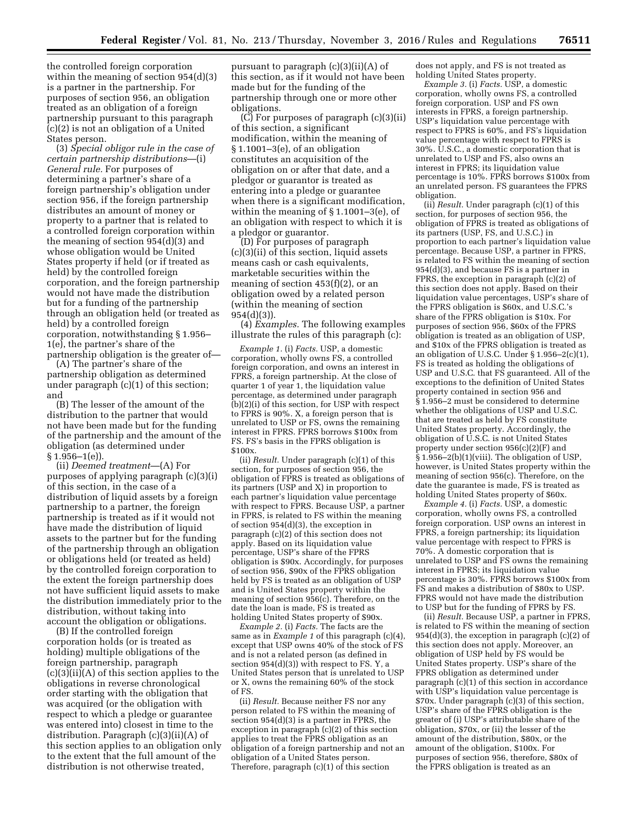the controlled foreign corporation within the meaning of section 954(d)(3) is a partner in the partnership. For purposes of section 956, an obligation treated as an obligation of a foreign partnership pursuant to this paragraph (c)(2) is not an obligation of a United States person.

(3) *Special obligor rule in the case of certain partnership distributions*—(i) *General rule.* For purposes of determining a partner's share of a foreign partnership's obligation under section 956, if the foreign partnership distributes an amount of money or property to a partner that is related to a controlled foreign corporation within the meaning of section 954(d)(3) and whose obligation would be United States property if held (or if treated as held) by the controlled foreign corporation, and the foreign partnership would not have made the distribution but for a funding of the partnership through an obligation held (or treated as held) by a controlled foreign corporation, notwithstanding § 1.956– 1(e), the partner's share of the partnership obligation is the greater of—

(A) The partner's share of the partnership obligation as determined under paragraph (c)(1) of this section; and

(B) The lesser of the amount of the distribution to the partner that would not have been made but for the funding of the partnership and the amount of the obligation (as determined under  $§ 1.956 - 1(e)$ 

(ii) *Deemed treatment*—(A) For purposes of applying paragraph (c)(3)(i) of this section, in the case of a distribution of liquid assets by a foreign partnership to a partner, the foreign partnership is treated as if it would not have made the distribution of liquid assets to the partner but for the funding of the partnership through an obligation or obligations held (or treated as held) by the controlled foreign corporation to the extent the foreign partnership does not have sufficient liquid assets to make the distribution immediately prior to the distribution, without taking into account the obligation or obligations.

(B) If the controlled foreign corporation holds (or is treated as holding) multiple obligations of the foreign partnership, paragraph (c)(3)(ii)(A) of this section applies to the obligations in reverse chronological order starting with the obligation that was acquired (or the obligation with respect to which a pledge or guarantee was entered into) closest in time to the distribution. Paragraph (c)(3)(ii)(A) of this section applies to an obligation only to the extent that the full amount of the distribution is not otherwise treated,

pursuant to paragraph (c)(3)(ii)(A) of this section, as if it would not have been made but for the funding of the partnership through one or more other obligations.

(C) For purposes of paragraph (c)(3)(ii) of this section, a significant modification, within the meaning of § 1.1001–3(e), of an obligation constitutes an acquisition of the obligation on or after that date, and a pledgor or guarantor is treated as entering into a pledge or guarantee when there is a significant modification, within the meaning of § 1.1001–3(e), of an obligation with respect to which it is a pledgor or guarantor.

(D) For purposes of paragraph (c)(3)(ii) of this section, liquid assets means cash or cash equivalents, marketable securities within the meaning of section 453(f)(2), or an obligation owed by a related person (within the meaning of section 954(d)(3)).

(4) *Examples.* The following examples illustrate the rules of this paragraph (c):

*Example 1.* (i) *Facts.* USP, a domestic corporation, wholly owns FS, a controlled foreign corporation, and owns an interest in FPRS, a foreign partnership. At the close of quarter 1 of year 1, the liquidation value percentage, as determined under paragraph (b)(2)(i) of this section, for USP with respect to FPRS is 90%. X, a foreign person that is unrelated to USP or FS, owns the remaining interest in FPRS. FPRS borrows \$100x from FS. FS's basis in the FPRS obligation is \$100x.

(ii) *Result.* Under paragraph (c)(1) of this section, for purposes of section 956, the obligation of FPRS is treated as obligations of its partners (USP and X) in proportion to each partner's liquidation value percentage with respect to FPRS. Because USP, a partner in FPRS, is related to FS within the meaning of section 954(d)(3), the exception in paragraph (c)(2) of this section does not apply. Based on its liquidation value percentage, USP's share of the FPRS obligation is \$90x. Accordingly, for purposes of section 956, \$90x of the FPRS obligation held by FS is treated as an obligation of USP and is United States property within the meaning of section 956(c). Therefore, on the date the loan is made, FS is treated as holding United States property of \$90x.

*Example 2.* (i) *Facts.* The facts are the same as in *Example 1* of this paragraph (c)(4), except that USP owns 40% of the stock of FS and is not a related person (as defined in section  $954(d)(3)$ ) with respect to FS. Y, a United States person that is unrelated to USP or X, owns the remaining 60% of the stock of FS.

(ii) *Result.* Because neither FS nor any person related to FS within the meaning of section 954(d)(3) is a partner in FPRS, the exception in paragraph (c)(2) of this section applies to treat the FPRS obligation as an obligation of a foreign partnership and not an obligation of a United States person. Therefore, paragraph (c)(1) of this section

does not apply, and FS is not treated as holding United States property.

*Example 3.* (i) *Facts.* USP, a domestic corporation, wholly owns FS, a controlled foreign corporation. USP and FS own interests in FPRS, a foreign partnership. USP's liquidation value percentage with respect to FPRS is 60%, and FS's liquidation value percentage with respect to FPRS is 30%. U.S.C., a domestic corporation that is unrelated to USP and FS, also owns an interest in FPRS; its liquidation value percentage is 10%. FPRS borrows \$100x from an unrelated person. FS guarantees the FPRS obligation.

(ii) *Result.* Under paragraph (c)(1) of this section, for purposes of section 956, the obligation of FPRS is treated as obligations of its partners (USP, FS, and U.S.C.) in proportion to each partner's liquidation value percentage. Because USP, a partner in FPRS, is related to FS within the meaning of section 954(d)(3), and because FS is a partner in FPRS, the exception in paragraph (c)(2) of this section does not apply. Based on their liquidation value percentages, USP's share of the FPRS obligation is \$60x, and U.S.C.'s share of the FPRS obligation is \$10x. For purposes of section 956, \$60x of the FPRS obligation is treated as an obligation of USP, and \$10x of the FPRS obligation is treated as an obligation of U.S.C. Under § 1.956–2(c)(1), FS is treated as holding the obligations of USP and U.S.C. that FS guaranteed. All of the exceptions to the definition of United States property contained in section 956 and § 1.956–2 must be considered to determine whether the obligations of USP and U.S.C. that are treated as held by FS constitute United States property. Accordingly, the obligation of U.S.C. is not United States property under section 956(c)(2)(F) and § 1.956–2(b)(1)(viii). The obligation of USP, however, is United States property within the meaning of section 956(c). Therefore, on the date the guarantee is made, FS is treated as holding United States property of \$60x.

*Example 4.* (i) *Facts.* USP, a domestic corporation, wholly owns FS, a controlled foreign corporation. USP owns an interest in FPRS, a foreign partnership; its liquidation value percentage with respect to FPRS is 70%. A domestic corporation that is unrelated to USP and FS owns the remaining interest in FPRS; its liquidation value percentage is 30%. FPRS borrows \$100x from FS and makes a distribution of \$80x to USP. FPRS would not have made the distribution to USP but for the funding of FPRS by FS.

(ii) *Result.* Because USP, a partner in FPRS, is related to FS within the meaning of section 954(d)(3), the exception in paragraph (c)(2) of this section does not apply. Moreover, an obligation of USP held by FS would be United States property. USP's share of the FPRS obligation as determined under paragraph (c)(1) of this section in accordance with USP's liquidation value percentage is \$70x. Under paragraph (c)(3) of this section, USP's share of the FPRS obligation is the greater of (i) USP's attributable share of the obligation, \$70x, or (ii) the lesser of the amount of the distribution, \$80x, or the amount of the obligation, \$100x. For purposes of section 956, therefore, \$80x of the FPRS obligation is treated as an